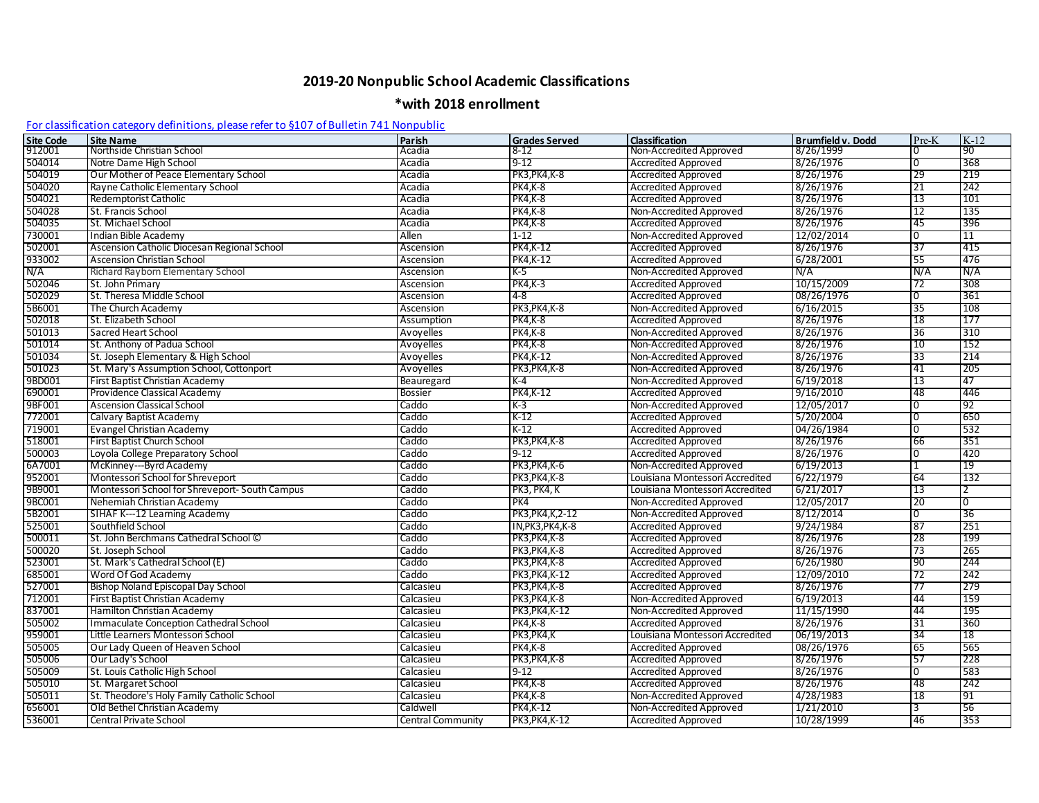## **2019-20 Nonpublic School Academic Classifications**

## **\*with 2018 enrollment**

## For classification category definitions, please refer to §107 of Bulletin 741 Nonpublic

| <b>Site Code</b> | <b>Site Name</b>                               | Parish            | <b>Grades Served</b> | <b>Classification</b>           | <b>Brumfield v. Dodd</b> | Pre-K           | $K-12$         |
|------------------|------------------------------------------------|-------------------|----------------------|---------------------------------|--------------------------|-----------------|----------------|
| 912001           | Northside Christian School                     | Acadia            | $8 - 12$             | Non-Accredited Approved         | 8/26/1999                | $\Omega$        | 90             |
| 504014           | Notre Dame High School                         | Acadia            | $9 - 12$             | <b>Accredited Approved</b>      | 8/26/1976                | O               | 368            |
| 504019           | Our Mother of Peace Elementary School          | Acadia            | <b>PK3, PK4, K-8</b> | <b>Accredited Approved</b>      | 8/26/1976                | 29              | 219            |
| 504020           | Rayne Catholic Elementary School               | Acadia            | <b>PK4,K-8</b>       | <b>Accredited Approved</b>      | 8/26/1976                | 21              | 242            |
| 504021           | Redemptorist Catholic                          | Acadia            | <b>PK4,K-8</b>       | <b>Accredited Approved</b>      | 8/26/1976                | 13              | 101            |
| 504028           | St. Francis School                             | Acadia            | <b>PK4,K-8</b>       | Non-Accredited Approved         | 8/26/1976                | $\overline{12}$ | 135            |
| 504035           | St. Michael School                             | Acadia            | <b>PK4,K-8</b>       | <b>Accredited Approved</b>      | 8/26/1976                | 45              | 396            |
| 730001           | Indian Bible Academy                           | Allen             | $1 - 12$             | Non-Accredited Approved         | 12/02/2014               | $\Omega$        | 11             |
| 502001           | Ascension Catholic Diocesan Regional School    | Ascension         | <b>PK4,K-12</b>      | <b>Accredited Approved</b>      | 8/26/1976                | 37              | 415            |
| 933002           | Ascension Christian School                     | Ascension         | <b>PK4,K-12</b>      | <b>Accredited Approved</b>      | 6/28/2001                | 55              | 476            |
| N/A              | Richard Rayborn Elementary School              | Ascension         | $K-5$                | Non-Accredited Approved         | N/A                      | N/A             | N/A            |
| 502046           | St. John Primary                               | Ascension         | <b>PK4,K-3</b>       | <b>Accredited Approved</b>      | 10/15/2009               | 72              | 308            |
| 502029           | St. Theresa Middle School                      | Ascension         | 4-8                  | <b>Accredited Approved</b>      | 08/26/1976               | $\overline{0}$  | 361            |
| 5B6001           | The Church Academy                             | Ascension         | PK3, PK4, K-8        | Non-Accredited Approved         | 6/16/2015                | 35              | 108            |
| 502018           | St. Elizabeth School                           | Assumption        | <b>PK4,K-8</b>       | <b>Accredited Approved</b>      | 8/26/1976                | 18              | 177            |
| 501013           | Sacred Heart School                            | Avovelles         | <b>PK4,K-8</b>       | Non-Accredited Approved         | 8/26/1976                | 36              | 310            |
| 501014           | St. Anthony of Padua School                    | Avovelles         | PK4.K-8              | Non-Accredited Approved         | 8/26/1976                | 10              | 152            |
| 501034           | St. Joseph Elementary & High School            | Avoyelles         | PK4,K-12             | Non-Accredited Approved         | 8/26/1976                | 33              | 214            |
| 501023           | St. Mary's Assumption School, Cottonport       | Avovelles         | <b>PK3, PK4, K-8</b> | Non-Accredited Approved         | 8/26/1976                | 41              | 205            |
| 9BD001           | First Baptist Christian Academy                | Beauregard        | $K-4$                | Non-Accredited Approved         | 6/19/2018                | 13              | 47             |
| 690001           | Providence Classical Academy                   | <b>Bossier</b>    | PK4,K-12             | <b>Accredited Approved</b>      | 9/16/2010                | 48              | 446            |
| 9BF001           | <b>Ascension Classical School</b>              | Caddo             | K-3                  | Non-Accredited Approved         | 12/05/2017               | $\overline{0}$  | 92             |
| 772001           | Calvary Baptist Academy                        | Caddo             | $K-12$               | <b>Accredited Approved</b>      | 5/20/2004                | 0               | 650            |
| 719001           | Evangel Christian Academy                      | Caddo             | $K-12$               | <b>Accredited Approved</b>      | 04/26/1984               | 0               | 532            |
| 518001           | First Baptist Church School                    | Caddo             | <b>PK3, PK4, K-8</b> | <b>Accredited Approved</b>      | 8/26/1976                | 66              | 351            |
| 500003           | Loyola College Preparatory School              | Caddo             | $9-12$               | <b>Accredited Approved</b>      | 8/26/1976                | $\Omega$        | 420            |
| 6A7001           | McKinney---Byrd Academy                        | Caddo             | PK3, PK4, K-6        | Non-Accredited Approved         | 6/19/2013                |                 | 19             |
| 952001           | Montessori School for Shreveport               | Caddo             | PK3, PK4, K-8        | Louisiana Montessori Accredited | 6/22/1979                | 64              | 132            |
| 9B9001           | Montessori School for Shreveport- South Campus | Caddo             | <b>PK3, PK4, K</b>   | Louisiana Montessori Accredited | 6/21/2017                | 13              | $\mathfrak z$  |
| 9BC001           | Nehemiah Christian Academy                     | Caddo             | PK4                  | Non-Accredited Approved         | 12/05/2017               | 20              | $\overline{0}$ |
| 5B2001           | SIHAF K---12 Learning Academy                  | Caddo             | PK3, PK4, K, 2-12    | Non-Accredited Approved         | 8/12/2014                | $\overline{0}$  | 36             |
| 525001           | Southfield School                              | Caddo             | IN, PK3, PK4, K-8    | <b>Accredited Approved</b>      | 9/24/1984                | 87              | 251            |
| 500011           | St. John Berchmans Cathedral School ©          | Caddo             | PK3, PK4, K-8        | <b>Accredited Approved</b>      | 8/26/1976                | 28              | 199            |
| 500020           | St. Joseph School                              | Caddo             | PK3, PK4, K-8        | <b>Accredited Approved</b>      | 8/26/1976                | 73              | 265            |
| 523001           | St. Mark's Cathedral School (E)                | Caddo             | PK3, PK4, K-8        | <b>Accredited Approved</b>      | 6/26/1980                | 90              | 244            |
| 685001           | Word Of God Academy                            | Caddo             | PK3, PK4, K-12       | <b>Accredited Approved</b>      | 12/09/2010               | 72              | 242            |
| 527001           | <b>Bishop Noland Episcopal Day School</b>      | Calcasieu         | <b>PK3, PK4, K-8</b> | <b>Accredited Approved</b>      | 8/26/1976                | 77              | 279            |
| 712001           | First Baptist Christian Academy                | Calcasieu         | <b>PK3, PK4, K-8</b> | Non-Accredited Approved         | 6/19/2013                | 44              | 159            |
| 837001           | Hamilton Christian Academy                     | Calcasieu         | PK3, PK4, K-12       | Non-Accredited Approved         | 11/15/1990               | 44              | 195            |
| 505002           | Immaculate Conception Cathedral School         | Calcasieu         | <b>PK4,K-8</b>       | <b>Accredited Approved</b>      | 8/26/1976                | 31              | 360            |
| 959001           | Little Learners Montessori School              | Calcasieu         | PK3, PK4, K          | Louisiana Montessori Accredited | 06/19/2013               | 34              | 18             |
| 505005           | Our Lady Queen of Heaven School                | Calcasieu         | <b>PK4,K-8</b>       | <b>Accredited Approved</b>      | 08/26/1976               | 65              | 565            |
| 505006           | Our Lady's School                              | Calcasieu         | PK3, PK4, K-8        | <b>Accredited Approved</b>      | 8/26/1976                | 57              | 228            |
| 505009           | St. Louis Catholic High School                 | Calcasieu         | $9 - 12$             | <b>Accredited Approved</b>      | 8/26/1976                | $\overline{0}$  | 583            |
| 505010           | St. Margaret School                            | Calcasieu         | <b>PK4,K-8</b>       | <b>Accredited Approved</b>      | 8/26/1976                | 48              | 242            |
| 505011           | St. Theodore's Holy Family Catholic School     | Calcasieu         | <b>PK4,K-8</b>       | Non-Accredited Approved         | 4/28/1983                | 18              | 91             |
| 656001           | Old Bethel Christian Academy                   | Caldwell          | <b>PK4.K-12</b>      | Non-Accredited Approved         | 1/21/2010                | 3               | 56             |
| 536001           | Central Private School                         | Central Community | PK3, PK4, K-12       | <b>Accredited Approved</b>      | 10/28/1999               | 46              | 353            |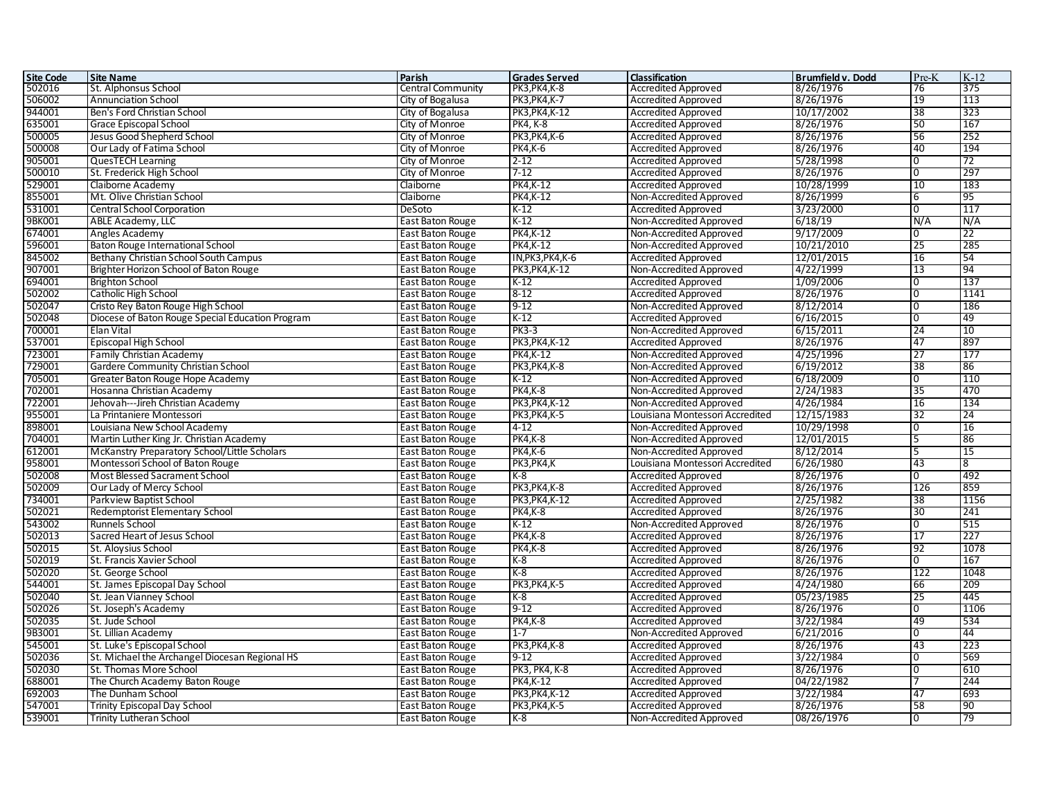| <b>Site Code</b> | <b>Site Name</b>                                   | Parish                   | <b>Grades Served</b>     | <b>Classification</b>                                 | <b>Brumfield v. Dodd</b> | Pre-K           | $K-12$    |
|------------------|----------------------------------------------------|--------------------------|--------------------------|-------------------------------------------------------|--------------------------|-----------------|-----------|
| 502016           | St. Alphonsus School                               | <b>Central Community</b> | <b>PK3, PK4, K-8</b>     | <b>Accredited Approved</b>                            | 8/26/1976                | 76              | 375       |
| 506002           | <b>Annunciation School</b>                         | City of Bogalusa         | <b>PK3.PK4.K-7</b>       | Accredited Approved                                   | 8/26/1976                | 19              | 113       |
| 944001           | Ben's Ford Christian School                        | City of Bogalusa         | PK3, PK4, K-12           | <b>Accredited Approved</b>                            | 10/17/2002               | 38              | 323       |
| 635001           | Grace Episcopal School                             | City of Monroe           | PK4, K-8                 | Accredited Approved                                   | 8/26/1976                | 50              | 167       |
| 500005           | Jesus Good Shepherd School                         | City of Monroe           | PK3, PK4, K-6            | <b>Accredited Approved</b>                            | 8/26/1976                | 56              | 252       |
| 500008           | Our Lady of Fatima School                          | City of Monroe           | <b>PK4,K-6</b>           | Accredited Approved                                   | 8/26/1976                | 40              | 194       |
| 905001           | <b>QuesTECH Learning</b>                           | City of Monroe           | $2 - 12$                 | <b>Accredited Approved</b>                            | 5/28/1998                | $\Omega$        | 72        |
| 500010           | St. Frederick High School                          | City of Monroe           | $7 - 12$                 | <b>Accredited Approved</b>                            | 8/26/1976                | $\overline{0}$  | 297       |
| 529001           | Claiborne Academy                                  | Claiborne                | <b>PK4,K-12</b>          | <b>Accredited Approved</b>                            | 10/28/1999               | 10              | 183       |
| 855001           | Mt. Olive Christian School                         | Claiborne                | <b>PK4,K-12</b>          | Non-Accredited Approved                               | 8/26/1999                | $6\overline{6}$ | 95        |
| 531001           | Central School Corporation                         | DeSoto                   | $K-12$                   | <b>Accredited Approved</b>                            | 3/23/2000                | $\Omega$        | 117       |
| 9BK001           | ABLE Academy, LLC                                  | East Baton Rouge         | $K-12$                   | Non-Accredited Approved                               | 6/18/19                  | N/A             | N/A       |
| 674001           | Angles Academy                                     | East Baton Rouge         | <b>PK4,K-12</b>          | Non-Accredited Approved                               | 9/17/2009                | $\overline{0}$  | 22        |
| 596001           | Baton Rouge International School                   | East Baton Rouge         | PK4,K-12                 | Non-Accredited Approved                               | 10/21/2010               | 25              | 285       |
| 845002           | Bethany Christian School South Campus              | East Baton Rouge         | IN, PK3, PK4, K-6        | <b>Accredited Approved</b>                            | 12/01/2015               | 16              | 54        |
| 907001           | Brighter Horizon School of Baton Rouge             | East Baton Rouge         | PK3, PK4, K-12           | Non-Accredited Approved                               | 4/22/1999                | 13              | 94        |
| 694001           | <b>Brighton School</b>                             | East Baton Rouge         | $K-12$                   | <b>Accredited Approved</b>                            | 1/09/2006                | $\overline{0}$  | 137       |
| 502002           | Catholic High School                               | East Baton Rouge         | $8 - 12$                 | <b>Accredited Approved</b>                            | 8/26/1976                | $\overline{0}$  | 1141      |
| 502047           | Cristo Rey Baton Rouge High School                 | East Baton Rouge         | $9-12$                   | Non-Accredited Approved                               | 8/12/2014                | 0               | 186       |
| 502048           | Diocese of Baton Rouge Special Education Program   | East Baton Rouge         | $K-12$                   | <b>Accredited Approved</b>                            | 6/16/2015                | $\overline{0}$  | 49        |
| 700001           | Elan Vital                                         | East Baton Rouge         | <b>PK3-3</b>             | Non-Accredited Approved                               | 6/15/2011                | 24              | 10        |
| 537001           | Episcopal High School                              | East Baton Rouge         | PK3, PK4, K-12           | <b>Accredited Approved</b>                            | 8/26/1976                | 47              | 897       |
| 723001           | Family Christian Academy                           | East Baton Rouge         | <b>PK4,K-12</b>          | Non-Accredited Approved                               | 4/25/1996                | 27              | 177       |
| 729001           | Gardere Community Christian School                 | East Baton Rouge         | <b>PK3, PK4, K-8</b>     | Non-Accredited Approved                               | 6/19/2012                | 38              | 86        |
| 705001           | Greater Baton Rouge Hope Academy                   | East Baton Rouge         | $K-12$                   | Non-Accredited Approved                               | 6/18/2009                | 0               | 110       |
| 702001           | Hosanna Christian Academy                          | East Baton Rouge         | <b>PK4,K-8</b>           | Non-Accredited Approved                               | 2/24/1983                | 35              | 470       |
| 722001           | Jehovah---Jireh Christian Academy                  | East Baton Rouge         | PK3, PK4, K-12           | Non-Accredited Approved                               | 4/26/1984                | 16              | 134       |
| 955001           | La Printaniere Montessori                          | East Baton Rouge         | <b>PK3, PK4, K-5</b>     | Louisiana Montessori Accredited                       | 12/15/1983               | 32              | 24        |
| 898001           | Louisiana New School Academy                       | East Baton Rouge         | $4 - 12$                 | Non-Accredited Approved                               | 10/29/1998               | $\Omega$        | 16        |
| 704001           | Martin Luther King Jr. Christian Academy           | East Baton Rouge         | <b>PK4,K-8</b>           | Non-Accredited Approved                               | 12/01/2015               | 5               | 86        |
| 612001           | McKanstry Preparatory School/Little Scholars       | East Baton Rouge         | PK4,K-6                  | Non-Accredited Approved                               | 8/12/2014                | 5               | 15        |
| 958001           | Montessori School of Baton Rouge                   | East Baton Rouge         | PK3, PK4, K              | Louisiana Montessori Accredited                       | 6/26/1980                | 43              | 8         |
| 502008           | Most Blessed Sacrament School                      | East Baton Rouge         | K-8                      | <b>Accredited Approved</b>                            | 8/26/1976                | 0               | 492       |
| 502009           | Our Lady of Mercy School                           | East Baton Rouge         | PK3, PK4, K-8            | <b>Accredited Approved</b>                            | 8/26/1976                | 126             | 859       |
| 734001           | Parkview Baptist School                            | East Baton Rouge         | PK3, PK4, K-12           | <b>Accredited Approved</b>                            | 2/25/1982                | 38              | 1156      |
| 502021           | Redemptorist Elementary School                     | East Baton Rouge         | <b>PK4,K-8</b>           | <b>Accredited Approved</b>                            | 8/26/1976                | 30              | 241       |
| 543002           | Runnels School                                     | East Baton Rouge         | $K-12$                   | Non-Accredited Approved                               | 8/26/1976                | $\overline{0}$  | 515       |
| 502013           | Sacred Heart of Jesus School                       | East Baton Rouge         | <b>PK4,K-8</b>           | <b>Accredited Approved</b>                            | 8/26/1976                | 17              | 227       |
| 502015           | St. Aloysius School                                | East Baton Rouge         | <b>PK4,K-8</b>           | <b>Accredited Approved</b>                            | 8/26/1976                | 92              | 1078      |
| 502019           | St. Francis Xavier School                          | East Baton Rouge         | K-8                      | <b>Accredited Approved</b>                            | 8/26/1976                | $\overline{0}$  | 167       |
| 502020           | St. George School                                  | East Baton Rouge         | $K-8$                    | <b>Accredited Approved</b>                            | 8/26/1976                | 122             | 1048      |
| 544001           | St. James Episcopal Day School                     | East Baton Rouge         | <b>PK3, PK4, K-5</b>     | <b>Accredited Approved</b>                            | 4/24/1980                | 66              | 209       |
| 502040           | St. Jean Vianney School                            | East Baton Rouge         | $K-8$                    | <b>Accredited Approved</b>                            | 05/23/1985               | 25              | 445       |
| 502026           | St. Joseph's Academy                               | East Baton Rouge         | $9 - 12$                 | <b>Accredited Approved</b>                            | 8/26/1976                | $\overline{0}$  | 1106      |
| 502035           | St. Jude School                                    |                          | <b>PK4,K-8</b>           | <b>Accredited Approved</b>                            | 3/22/1984                | 49              | 534       |
|                  |                                                    | East Baton Rouge         |                          |                                                       |                          |                 |           |
| 9B3001<br>545001 | St. Lillian Academy<br>St. Luke's Episcopal School | East Baton Rouge         | $1 - 7$<br>PK3, PK4, K-8 | Non-Accredited Approved<br><b>Accredited Approved</b> | 6/21/2016                | $\Omega$<br>43  | 44<br>223 |
|                  |                                                    | East Baton Rouge         |                          |                                                       | 8/26/1976                |                 |           |
| 502036           | St. Michael the Archangel Diocesan Regional HS     | East Baton Rouge         | $9 - 12$                 | <b>Accredited Approved</b>                            | 3/22/1984                | $\overline{0}$  | 569       |
| 502030           | St. Thomas More School                             | East Baton Rouge         | PK3, PK4, K-8            | <b>Accredited Approved</b>                            | 8/26/1976                | 0               | 610       |
| 688001           | The Church Academy Baton Rouge                     | East Baton Rouge         | PK4,K-12                 | <b>Accredited Approved</b>                            | 04/22/1982               |                 | 244       |
| 692003           | The Dunham School                                  | East Baton Rouge         | PK3, PK4, K-12           | <b>Accredited Approved</b>                            | 3/22/1984                | 47              | 693       |
| 547001           | <b>Trinity Episcopal Day School</b>                | East Baton Rouge         | <b>PK3, PK4, K-5</b>     | <b>Accredited Approved</b>                            | 8/26/1976                | 58              | 90        |
| 539001           | <b>Trinity Lutheran School</b>                     | East Baton Rouge         | K-8                      | Non-Accredited Approved                               | 08/26/1976               | $\overline{0}$  | 79        |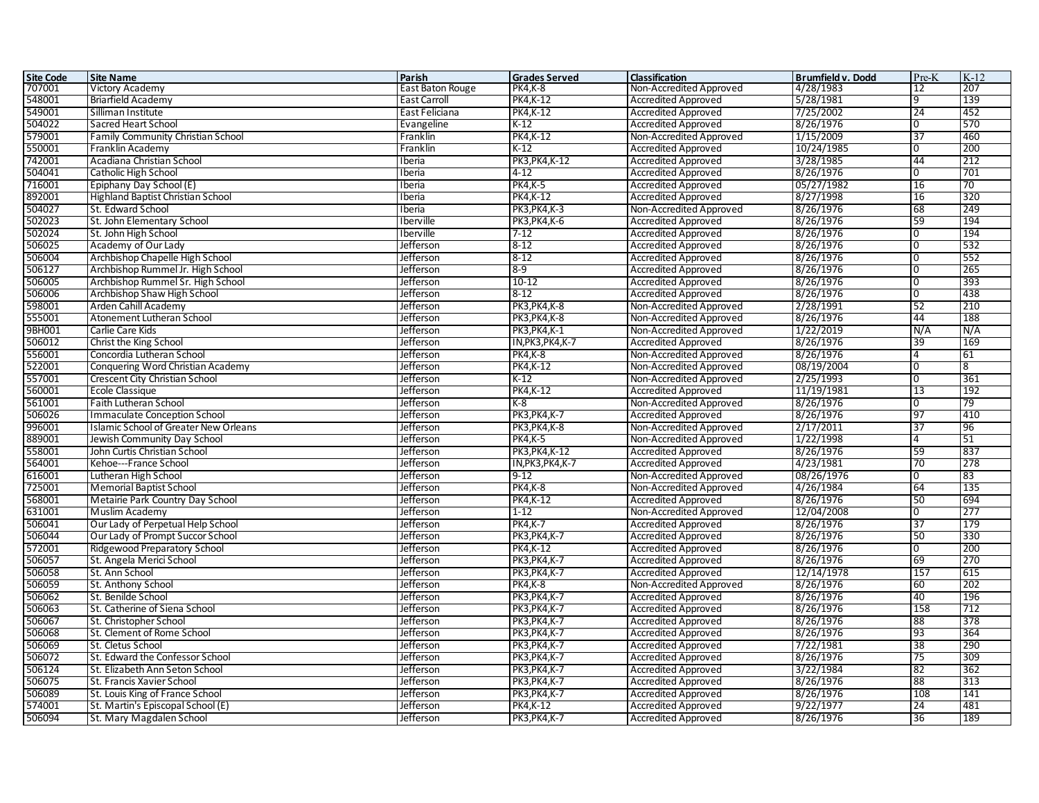| <b>Site Code</b> | <b>Site Name</b>                      | Parish              | <b>Grades Served</b>                         | <b>Classification</b>                                    | <b>Brumfield v. Dodd</b> | Pre-K          | $K-12$ |
|------------------|---------------------------------------|---------------------|----------------------------------------------|----------------------------------------------------------|--------------------------|----------------|--------|
| 707001           | Victory Academy                       | East Baton Rouge    | <b>PK4,K-8</b>                               | Non-Accredited Approved                                  | 4/28/1983                | 12             | 207    |
| 548001           | <b>Briarfield Academy</b>             | <b>East Carroll</b> | <b>PK4,K-12</b>                              | <b>Accredited Approved</b>                               | 5/28/1981                | 9              | 139    |
| 549001           | Silliman Institute                    | East Feliciana      | <b>PK4,K-12</b>                              | <b>Accredited Approved</b>                               | 7/25/2002                | 24             | 452    |
| 504022           | Sacred Heart School                   | Evangeline          | $K-12$                                       | <b>Accredited Approved</b>                               | 8/26/1976                | $\overline{0}$ | 570    |
| 579001           | Family Community Christian School     | Franklin            | PK4,K-12                                     | Non-Accredited Approved                                  | 1/15/2009                | 37             | 460    |
| 550001           | Franklin Academy                      | Franklin            | K-12                                         | <b>Accredited Approved</b>                               | 10/24/1985               | 0              | 200    |
| 742001           | Acadiana Christian School             | Iberia              | PK3, PK4, K-12                               | <b>Accredited Approved</b>                               | 3/28/1985                | 44             | 212    |
| 504041           | Catholic High School                  | Iberia              | $4 - 12$                                     | <b>Accredited Approved</b>                               | 8/26/1976                | $\overline{0}$ | 701    |
| 716001           | Epiphany Day School (E)               | <b>Iberia</b>       | <b>PK4,K-5</b>                               | <b>Accredited Approved</b>                               | 05/27/1982               | 16             | 70     |
| 892001           | Highland Baptist Christian School     | Iberia              | <b>PK4,K-12</b>                              | <b>Accredited Approved</b>                               | 8/27/1998                | 16             | 320    |
| 504027           | St. Edward School                     | Iberia              | PK3, PK4, K-3                                | Non-Accredited Approved                                  | 8/26/1976                | 68             | 249    |
| 502023           | St. John Elementary School            | Iberville           | PK3, PK4, K-6                                | <b>Accredited Approved</b>                               | 8/26/1976                | 59             | 194    |
| 502024           | St. John High School                  | Iberville           | $7-12$                                       | <b>Accredited Approved</b>                               | 8/26/1976                | 0              | 194    |
| 506025           | Academy of Our Lady                   | Jefferson           | $8 - 12$                                     | <b>Accredited Approved</b>                               | 8/26/1976                | O              | 532    |
| 506004           | Archbishop Chapelle High School       | Jefferson           | $8 - 12$                                     | <b>Accredited Approved</b>                               | 8/26/1976                | 0              | 552    |
| 506127           | Archbishop Rummel Jr. High School     | Jefferson           | $8 - 9$                                      | <b>Accredited Approved</b>                               | 8/26/1976                | 0              | 265    |
| 506005           | Archbishop Rummel Sr. High School     | Jefferson           | $10 - 12$                                    | <b>Accredited Approved</b>                               | 8/26/1976                | O              | 393    |
| 506006           | Archbishop Shaw High School           | Jefferson           | $8 - 12$                                     | <b>Accredited Approved</b>                               | 8/26/1976                | $\Omega$       | 438    |
| 598001           | Arden Cahill Academy                  | Jefferson           | PK3, PK4, K-8                                | Non-Accredited Approved                                  | 2/28/1991                | 52             | 210    |
| 555001           | Atonement Lutheran School             | Jefferson           | <b>PK3, PK4, K-8</b>                         | Non-Accredited Approved                                  | 8/26/1976                | 44             | 188    |
| 9BH001           | Carlie Care Kids                      | Jefferson           | <b>PK3, PK4, K-1</b>                         | Non-Accredited Approved                                  | 1/22/2019                | N/A            | N/A    |
| 506012           | Christ the King School                | Jefferson           | IN,PK3,PK4,K-7                               | <b>Accredited Approved</b>                               | 8/26/1976                | 39             | 169    |
| 556001           | Concordia Lutheran School             | Jefferson           | PK4,K-8                                      | Non-Accredited Approved                                  | 8/26/1976                | $\overline{4}$ | 61     |
| 522001           | Conquering Word Christian Academy     | Jefferson           | PK4,K-12                                     | Non-Accredited Approved                                  | 08/19/2004               | $\Omega$       | 8      |
| 557001           | Crescent City Christian School        | Jefferson           | $K-12$                                       | Non-Accredited Approved                                  | 2/25/1993                | 0              | 361    |
| 560001           | Ecole Classique                       | Jefferson           | PK4,K-12                                     | <b>Accredited Approved</b>                               | 11/19/1981               | 13             | 192    |
| 561001           | Faith Lutheran School                 | Jefferson           | $K-8$                                        | Non-Accredited Approved                                  | 8/26/1976                | 0              | 79     |
| 506026           | <b>Immaculate Conception School</b>   | Jefferson           | PK3, PK4, K-7                                | <b>Accredited Approved</b>                               | 8/26/1976                | 97             | 410    |
| 996001           | Islamic School of Greater New Orleans | Jefferson           | <b>PK3, PK4, K-8</b>                         | Non-Accredited Approved                                  | 2/17/2011                | 37             | 96     |
| 889001           | Jewish Community Day School           | Jefferson           | <b>PK4,K-5</b>                               | Non-Accredited Approved                                  | 1/22/1998                | 4              | 51     |
| 558001           | John Curtis Christian School          | Jefferson           | PK3, PK4, K-12                               | <b>Accredited Approved</b>                               | 8/26/1976                | 59             | 837    |
| 564001           | Kehoe---France School                 | Jefferson           | IN, PK3, PK4, K-7                            | <b>Accredited Approved</b>                               | 4/23/1981                | 70             | 278    |
| 616001           | Lutheran High School                  | Jefferson           | $9 - 12$                                     | Non-Accredited Approved                                  | 08/26/1976               | $\overline{0}$ | 83     |
| 725001           | <b>Memorial Baptist School</b>        | Jefferson           | PK4,K-8                                      | Non-Accredited Approved                                  | 4/26/1984                | 64             | 135    |
| 568001           | Metairie Park Country Day School      | Jefferson           | <b>PK4,K-12</b>                              | <b>Accredited Approved</b>                               | 8/26/1976                | 50             | 694    |
| 631001           | Muslim Academy                        | Jefferson           | $1 - 12$                                     | Non-Accredited Approved                                  | 12/04/2008               | 0              | 277    |
| 506041           | Our Lady of Perpetual Help School     | Jefferson           | <b>PK4,K-7</b>                               | <b>Accredited Approved</b>                               | 8/26/1976                | 37             | 179    |
| 506044           | Our Lady of Prompt Succor School      | Jefferson           | <b>PK3, PK4, K-7</b>                         | <b>Accredited Approved</b>                               | 8/26/1976                | 50             | 330    |
| 572001           | Ridgewood Preparatory School          | Jefferson           | PK4,K-12                                     | <b>Accredited Approved</b>                               | 8/26/1976                | $\overline{0}$ | 200    |
| 506057           | St. Angela Merici School              | Jefferson           | PK3,PK4,K-7                                  | <b>Accredited Approved</b>                               | 8/26/1976                | 69             | 270    |
| 506058           | St. Ann School                        | Jefferson           | <b>PK3, PK4, K-7</b>                         | <b>Accredited Approved</b>                               | 12/14/1978               | 157            | 615    |
| 506059           | St. Anthony School                    | Jefferson           | <b>PK4,K-8</b>                               | Non-Accredited Approved                                  | 8/26/1976                | 60             | 202    |
| 506062           | St. Benilde School                    | Jefferson           | <b>PK3, PK4, K-7</b>                         | <b>Accredited Approved</b>                               | 8/26/1976                | 40             | 196    |
| 506063           | St. Catherine of Siena School         | Jefferson           | <b>PK3, PK4, K-7</b>                         | <b>Accredited Approved</b>                               | 8/26/1976                | 158            | 712    |
| 506067           | St. Christopher School                | Jefferson           | <b>PK3, PK4, K-7</b>                         | <b>Accredited Approved</b>                               | 8/26/1976                | 88             | 378    |
| 506068           | St. Clement of Rome School            | <b>Jefferson</b>    | PK3, PK4, K-7                                | <b>Accredited Approved</b>                               | 8/26/1976                | 93             | 364    |
| 506069           | St. Cletus School                     | Jefferson           | <b>PK3, PK4, K-7</b>                         | <b>Accredited Approved</b>                               | 7/22/1981                | 38             | 290    |
| 506072           | St. Edward the Confessor School       | Jefferson           |                                              | Accredited Approved                                      |                          | 75             | 309    |
| 506124           | St. Elizabeth Ann Seton School        | Jefferson           | <b>PK3, PK4, K-7</b><br><b>PK3, PK4, K-7</b> |                                                          | 8/26/1976<br>3/22/1984   | 82             | 362    |
| 506075           | St. Francis Xavier School             | Jefferson           | <b>PK3, PK4, K-7</b>                         | <b>Accredited Approved</b><br><b>Accredited Approved</b> | 8/26/1976                | 88             | 313    |
| 506089           | St. Louis King of France School       | Jefferson           | <b>PK3, PK4, K-7</b>                         | <b>Accredited Approved</b>                               | 8/26/1976                | 108            | 141    |
| 574001           | St. Martin's Episcopal School (E)     | Jefferson           | <b>PK4.K-12</b>                              | <b>Accredited Approved</b>                               | 9/22/1977                | 24             | 481    |
| 506094           | St. Mary Magdalen School              | Jefferson           | <b>PK3, PK4, K-7</b>                         |                                                          | 8/26/1976                | 36             | 189    |
|                  |                                       |                     |                                              | <b>Accredited Approved</b>                               |                          |                |        |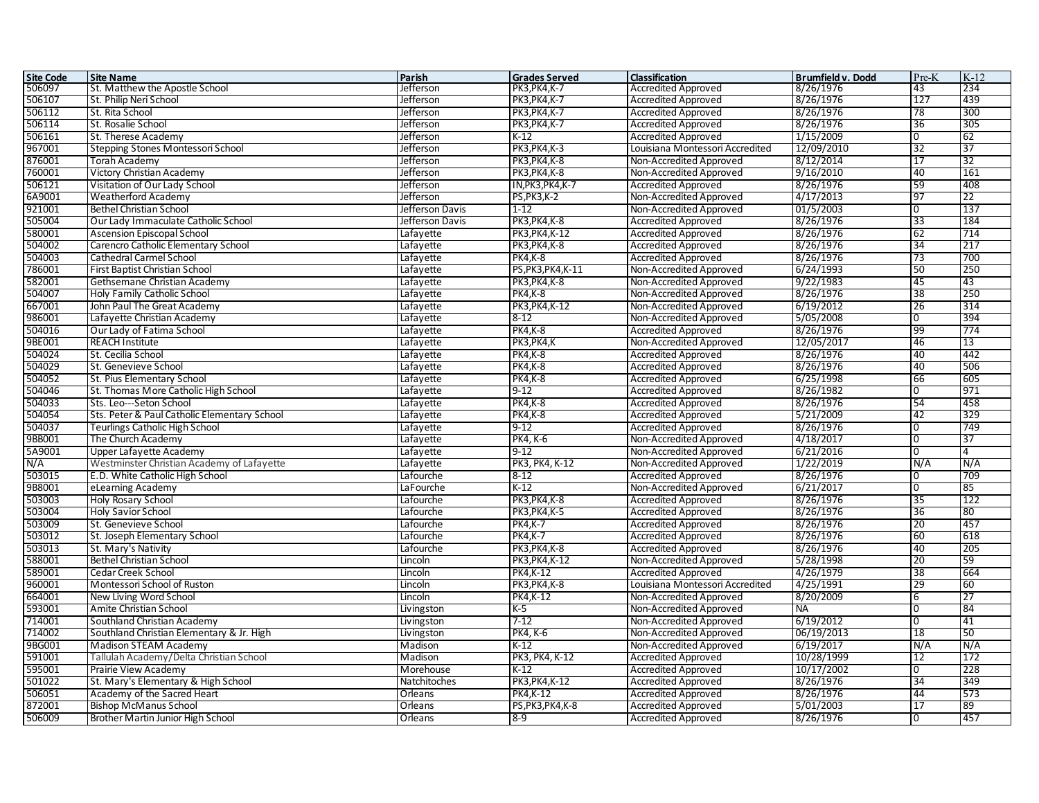| <b>Site Code</b> | <b>Site Name</b>                                                   | Parish                | <b>Grades Served</b>     | <b>Classification</b>           | Brumfield v. Dodd        | Pre-K          | $K-12$ |
|------------------|--------------------------------------------------------------------|-----------------------|--------------------------|---------------------------------|--------------------------|----------------|--------|
| 506097           | St. Matthew the Apostle School                                     | Jefferson             | <b>PK3, PK4, K-7</b>     | <b>Accredited Approved</b>      | 8/26/1976                | 43             | 234    |
| 506107           | St. Philip Neri School                                             | Jefferson             | <b>PK3, PK4, K-7</b>     | <b>Accredited Approved</b>      | 8/26/1976                | 127            | 439    |
| 506112           | St. Rita School                                                    | Jefferson             | <b>PK3, PK4, K-7</b>     | <b>Accredited Approved</b>      | 8/26/1976                | 78             | 300    |
| 506114           | St. Rosalie School                                                 | Jefferson             | <b>PK3, PK4, K-7</b>     | Accredited Approved             | 8/26/1976                | 36             | 305    |
| 506161           | St. Therese Academy                                                | Jefferson             | $K-12$                   | <b>Accredited Approved</b>      | 1/15/2009                | $\overline{0}$ | 62     |
| 967001           | Stepping Stones Montessori School                                  | Jefferson             | PK3, PK4, K-3            | Louisiana Montessori Accredited | 12/09/2010               | 32             | 37     |
| 876001           | Torah Academy                                                      | <b>Jefferson</b>      | <b>PK3, PK4, K-8</b>     | Non-Accredited Approved         | 8/12/2014                | 17             | 32     |
| 760001           | Victory Christian Academy                                          | Jefferson             | <b>PK3, PK4, K-8</b>     | Non-Accredited Approved         | 9/16/2010                | 40             | 161    |
| 506121           | Visitation of Our Lady School                                      | Jefferson             | IN, PK3, PK4, K-7        | <b>Accredited Approved</b>      | 8/26/1976                | 59             | 408    |
| 6A9001           | <b>Weatherford Academy</b>                                         | Jefferson             | <b>PS, PK3, K-2</b>      | Non-Accredited Approved         | 4/17/2013                | 97             | 22     |
| 921001           | Bethel Christian School                                            | Jefferson Davis       | $1 - 12$                 | Non-Accredited Approved         | 01/5/2003                | n              | 137    |
| 505004           | Our Lady Immaculate Catholic School                                | Jefferson Davis       | <b>PK3, PK4, K-8</b>     | <b>Accredited Approved</b>      | 8/26/1976                | 33             | 184    |
| 580001           | Ascension Episcopal School                                         | Lafayette             | PK3, PK4, K-12           | <b>Accredited Approved</b>      | 8/26/1976                | 62             | 714    |
| 504002           | Carencro Catholic Elementary School                                | Lafayette             | PK3, PK4, K-8            | <b>Accredited Approved</b>      | 8/26/1976                | 34             | 217    |
| 504003           | Cathedral Carmel School                                            | Lafavette             | <b>PK4,K-8</b>           | Accredited Approved             | 8/26/1976                | 73             | 700    |
| 786001           | First Baptist Christian School                                     | Lafayette             | PS, PK3, PK4, K-11       | Non-Accredited Approved         | 6/24/1993                | 50             | 250    |
| 582001           | Gethsemane Christian Academy                                       | Lafayette             | <b>PK3, PK4, K-8</b>     | Non-Accredited Approved         | 9/22/1983                | 45             | 43     |
| 504007           | Holy Family Catholic School                                        | Lafayette             | <b>PK4,K-8</b>           | Non-Accredited Approved         | 8/26/1976                | 38             | 250    |
| 667001           | John Paul The Great Academy                                        | Lafayette             | PK3, PK4, K-12           | Non-Accredited Approved         | 6/19/2012                | 26             | 314    |
| 986001           | Lafayette Christian Academy                                        | Lafayette             | $8 - 12$                 | Non-Accredited Approved         | 5/05/2008                | n              | 394    |
| 504016           | Our Lady of Fatima School                                          | Lafayette             | <b>PK4,K-8</b>           | <b>Accredited Approved</b>      | 8/26/1976                | 99             | 774    |
| 9BE001           | <b>REACH Institute</b>                                             | Lafayette             | <b>PK3, PK4, K</b>       | Non-Accredited Approved         | 12/05/2017               | 46             | 13     |
| 504024           | St. Cecilia School                                                 | Lafayette             | <b>PK4,K-8</b>           | <b>Accredited Approved</b>      | 8/26/1976                | 40             | 442    |
| 504029           | St. Genevieve School                                               | Lafavette             | <b>PK4,K-8</b>           | <b>Accredited Approved</b>      | 8/26/1976                | 40             | 506    |
| 504052           | St. Pius Elementary School                                         | Lafayette             | <b>PK4,K-8</b>           | <b>Accredited Approved</b>      | 6/25/1998                | 66             | 605    |
| 504046           | St. Thomas More Catholic High School                               | Lafayette             | $9 - 12$                 | <b>Accredited Approved</b>      | 8/26/1982                | $\overline{0}$ | 971    |
| 504033           | Sts. Leo---Seton School                                            | Lafayette             | <b>PK4,K-8</b>           | <b>Accredited Approved</b>      | 8/26/1976                | 54             | 458    |
| 504054           | Sts. Peter & Paul Catholic Elementary School                       | Lafayette             | <b>PK4,K-8</b>           | Accredited Approved             | 5/21/2009                | 42             | 329    |
| 504037           | <b>Teurlings Catholic High School</b>                              | Lafayette             | $9 - 12$                 | <b>Accredited Approved</b>      | 8/26/1976                | n              | 749    |
| 9BB001           | The Church Academy                                                 | Lafayette             | PK4, K-6                 | Non-Accredited Approved         | 4/18/2017                | O              | 37     |
| 5A9001           | Upper Lafayette Academy                                            | Lafayette             | $9 - 12$                 | Non-Accredited Approved         | 6/21/2016                | $\overline{0}$ | 4      |
| N/A              | Westminster Christian Academy of Lafayette                         | Lafayette             | PK3, PK4, K-12           | Non-Accredited Approved         | 1/22/2019                | N/A            | N/A    |
| 503015           | E.D. White Catholic High School                                    | Lafourche             | $8 - 12$                 | <b>Accredited Approved</b>      | 8/26/1976                | n              | 709    |
| 9B8001           | eLearning Academy                                                  | LaFourche             | $K-12$                   | Non-Accredited Approved         | 6/21/2017                | O              | 85     |
| 503003           | Holy Rosary School                                                 | Lafourche             | <b>PK3, PK4, K-8</b>     | <b>Accredited Approved</b>      | 8/26/1976                | 35             | 122    |
| 503004           | <b>Holy Savior School</b>                                          | Lafourche             | PK3, PK4, K-5            | <b>Accredited Approved</b>      | 8/26/1976                | 36             | 80     |
| 503009           | St. Genevieve School                                               | Lafourche             | <b>PK4,K-7</b>           | Accredited Approved             | 8/26/1976                | 20             | 457    |
| 503012           | St. Joseph Elementary School                                       | Lafourche             | <b>PK4,K-7</b>           | <b>Accredited Approved</b>      | 8/26/1976                | 60             | 618    |
| 503013           | St. Mary's Nativity                                                | Lafourche             | <b>PK3, PK4, K-8</b>     | <b>Accredited Approved</b>      | 8/26/1976                | 40             | 205    |
| 588001           | Bethel Christian School                                            | Lincoln               | PK3, PK4, K-12           | Non-Accredited Approved         | 5/28/1998                | 20             | 59     |
| 589001           | Cedar Creek School                                                 | Lincoln               | <b>PK4.K-12</b>          | <b>Accredited Approved</b>      | 4/26/1979                | 38             | 664    |
| 960001           | Montessori School of Ruston                                        | Lincoln               | <b>PK3, PK4, K-8</b>     | Louisiana Montessori Accredited | 4/25/1991                | 29             | 60     |
| 664001           | New Living Word School                                             | Lincoln               | <b>PK4,K-12</b>          | Non-Accredited Approved         | 8/20/2009                | 6              | 27     |
| 593001           | Amite Christian School                                             | Livingston            | K-5                      | Non-Accredited Approved         | <b>NA</b>                | 0              | 84     |
| 714001           | Southland Christian Academy                                        | Livingston            | $7 - 12$                 | Non-Accredited Approved         | 6/19/2012                | $\overline{0}$ | 41     |
| 714002           |                                                                    |                       | PK4, K-6                 | Non-Accredited Approved         | 06/19/2013               | 18             | 50     |
| 9BG001           | Southland Christian Elementary & Jr. High<br>Madison STEAM Academy | Livingston<br>Madison | $K-12$                   | Non-Accredited Approved         | 6/19/2017                | N/A            | N/A    |
| 591001           | Tallulah Academy/Delta Christian School                            | Madison               |                          | <b>Accredited Approved</b>      |                          | 12             | 172    |
| 595001           | Prairie View Academy                                               | Morehouse             | PK3, PK4, K-12<br>$K-12$ | <b>Accredited Approved</b>      | 10/28/1999<br>10/17/2002 | 0              | 228    |
| 501022           | St. Mary's Elementary & High School                                | Natchitoches          | PK3, PK4, K-12           | <b>Accredited Approved</b>      | 8/26/1976                | 34             | 349    |
| 506051           |                                                                    | Orleans               | <b>PK4,K-12</b>          | <b>Accredited Approved</b>      | 8/26/1976                | 44             | 573    |
| 872001           | Academy of the Sacred Heart<br><b>Bishop McManus School</b>        | Orleans               | PS, PK3, PK4, K-8        | <b>Accredited Approved</b>      | 5/01/2003                | 17             | 89     |
| 506009           |                                                                    | Orleans               | $8 - 9$                  |                                 | 8/26/1976                | $\overline{0}$ | 457    |
|                  | Brother Martin Junior High School                                  |                       |                          | <b>Accredited Approved</b>      |                          |                |        |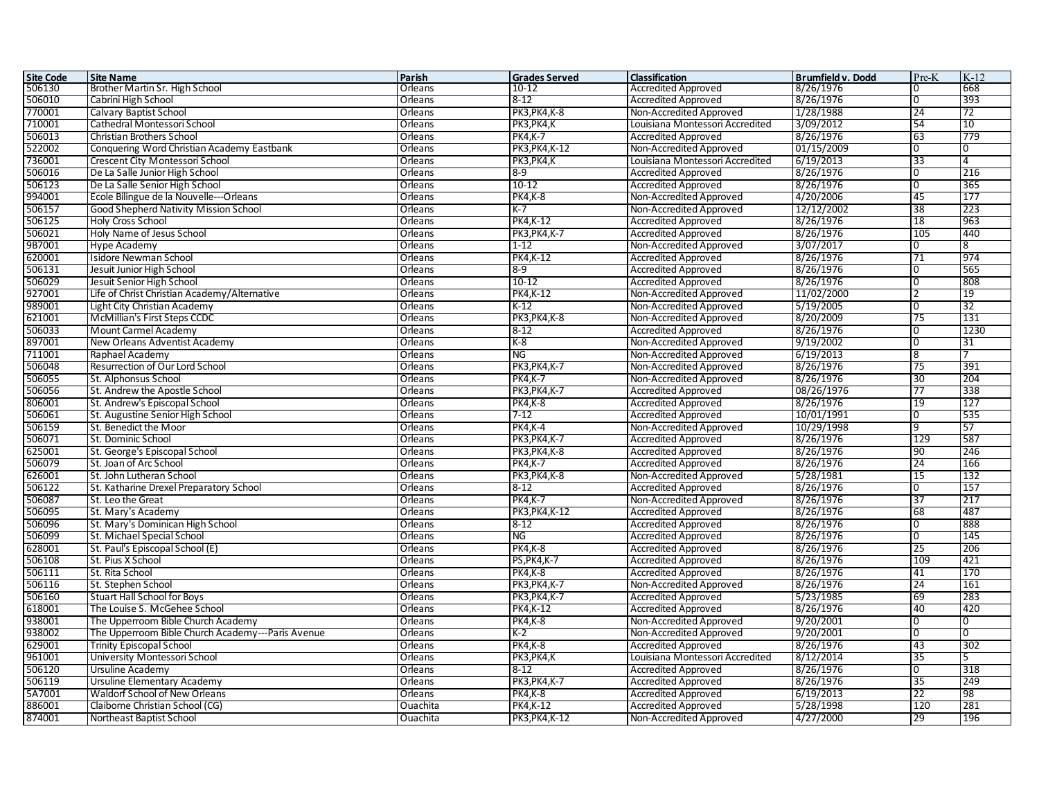| 506130<br>Brother Martin Sr. High School<br><b>Accredited Approved</b><br>668<br>Orleans<br>$10-12$<br>8/26/1976<br>$\overline{0}$<br>506010<br>$8 - 12$<br><b>Accredited Approved</b><br>8/26/1976<br>393<br>Cabrini High School<br><b>Orleans</b><br>0<br>770001<br>72<br><b>PK3, PK4, K-8</b><br>Non-Accredited Approved<br>1/28/1988<br>24<br>Calvary Baptist School<br>Orleans<br>710001<br>PK3, PK4, K<br>3/09/2012<br>10<br>Cathedral Montessori School<br>Orleans<br>Louisiana Montessori Accredited<br>54<br>506013<br><b>PK4,K-7</b><br>779<br>Christian Brothers School<br>Orleans<br><b>Accredited Approved</b><br>8/26/1976<br>63<br>522002<br>PK3, PK4, K-12<br>01/15/2009<br>Conquering Word Christian Academy Eastbank<br>Orleans<br>Non-Accredited Approved<br>0<br>$\overline{0}$<br>736001<br><b>PK3, PK4, K</b><br>Louisiana Montessori Accredited<br>6/19/2013<br>Crescent City Montessori School<br>Orleans<br>33<br>4<br>506016<br>$8-9$<br>$\overline{0}$<br>216<br>De La Salle Junior High School<br>Orleans<br><b>Accredited Approved</b><br>8/26/1976<br>365<br>$10 - 12$<br>506123<br>De La Salle Senior High School<br><b>Accredited Approved</b><br>8/26/1976<br>Orleans<br>$\Omega$<br>177<br>994001<br>Ecole Bilingue de la Nouvelle---Orleans<br><b>PK4,K-8</b><br>Non-Accredited Approved<br>4/20/2006<br>45<br>Orleans<br>506157<br>Non-Accredited Approved<br>12/12/2002<br>38<br>223<br>Good Shepherd Nativity Mission School<br>Orleans<br>$K-7$<br><b>PK4,K-12</b><br>18<br>963<br>506125<br><b>Holy Cross School</b><br><b>Accredited Approved</b><br>8/26/1976<br>Orleans<br>440<br>506021<br>Holy Name of Jesus School<br><b>PK3, PK4, K-7</b><br><b>Accredited Approved</b><br>8/26/1976<br>105<br>Orleans<br>9B7001<br>$1 - 12$<br>Non-Accredited Approved<br>3/07/2017<br>$\overline{0}$<br>8<br><b>Hype Academy</b><br>Orleans<br><b>PK4,K-12</b><br>974<br>620001<br>Isidore Newman School<br>8/26/1976<br>71<br>Orleans<br>Accredited Approved<br>506131<br>Jesuit Junior High School<br>$8 - 9$<br><b>Accredited Approved</b><br>8/26/1976<br>565<br>Orleans<br>$\Omega$<br>$10 - 12$<br>506029<br>808<br>Jesuit Senior High School<br>Orleans<br><b>Accredited Approved</b><br>8/26/1976<br>$\overline{0}$<br>19<br>927001<br>Life of Christ Christian Academy/Alternative<br><b>PK4,K-12</b><br>Non-Accredited Approved<br>11/02/2000<br>Orleans<br>$K-12$<br>5/19/2005<br>32<br>989001<br>Light City Christian Academy<br>Orleans<br>Non-Accredited Approved<br>$\overline{0}$<br>131<br>621001<br><b>PK3, PK4, K-8</b><br>Non-Accredited Approved<br>8/20/2009<br>McMillian's First Steps CCDC<br>Orleans<br>75<br>506033<br>8/26/1976<br>$\overline{0}$<br>1230<br>Mount Carmel Academy<br>Orleans<br>$8 - 12$<br><b>Accredited Approved</b><br>897001<br>New Orleans Adventist Academy<br>K-8<br>9/19/2002<br>31<br>Orleans<br>Non-Accredited Approved<br>$\overline{0}$<br>711001<br>NG<br>6/19/2013<br>Raphael Academy<br>Orleans<br>Non-Accredited Approved<br>8<br>506048<br><b>PK3, PK4, K-7</b><br>8/26/1976<br>75<br>391<br>Resurrection of Our Lord School<br>Orleans<br>Non-Accredited Approved<br>204<br>506055<br>St. Alphonsus School<br>Non-Accredited Approved<br>8/26/1976<br>30<br>Orleans<br><b>PK4,K-7</b><br>338<br>506056<br>St. Andrew the Apostle School<br><b>PK3, PK4, K-7</b><br>08/26/1976<br>77<br>Orleans<br><b>Accredited Approved</b><br>127<br>806001<br>8/26/1976<br>St. Andrew's Episcopal School<br><b>PK4,K-8</b><br><b>Accredited Approved</b><br>19<br>Orleans<br>506061<br>$7-12$<br>10/01/1991<br>535<br>St. Augustine Senior High School<br>Orleans<br>Accredited Approved<br>$\overline{0}$<br>506159<br><b>PK4,K-4</b><br>57<br>Non-Accredited Approved<br>St. Benedict the Moor<br>Orleans<br>10/29/1998<br>q<br>587<br>506071<br>St. Dominic School<br>PK3, PK4, K-7<br><b>Accredited Approved</b><br>8/26/1976<br>129<br>Orleans<br>246<br>625001<br>St. George's Episcopal School<br><b>PK3, PK4, K-8</b><br><b>Accredited Approved</b><br>8/26/1976<br>90<br>Orleans<br>506079<br>St. Joan of Arc School<br><b>PK4,K-7</b><br><b>Accredited Approved</b><br>8/26/1976<br>24<br>166<br>Orleans<br>132<br>626001<br>St. John Lutheran School<br>Orleans<br><b>PK3, PK4, K-8</b><br>Non-Accredited Approved<br>5/28/1981<br>15<br>$\overline{0}$<br>157<br>506122<br>St. Katharine Drexel Preparatory School<br>$8 - 12$<br><b>Accredited Approved</b><br>8/26/1976<br>Orleans<br>217<br>506087<br><b>PK4,K-7</b><br>Non-Accredited Approved<br>8/26/1976<br>37<br>St. Leo the Great<br>Orleans<br>506095<br>487<br>St. Mary's Academy<br>Orleans<br>PK3, PK4, K-12<br><b>Accredited Approved</b><br>8/26/1976<br>68<br>888<br>506096<br>St. Mary's Dominican High School<br>Orleans<br>$8 - 12$<br><b>Accredited Approved</b><br>8/26/1976<br>$\Omega$<br>506099<br>St. Michael Special School<br><b>NG</b><br><b>Accredited Approved</b><br>8/26/1976<br>$\overline{0}$<br>145<br>Orleans<br>206<br>628001<br>PK4,K-8<br>25<br>St. Paul's Episcopal School (E)<br>Orleans<br><b>Accredited Approved</b><br>8/26/1976<br>421<br>506108<br>St. Pius X School<br><b>PS, PK4, K-7</b><br><b>Accredited Approved</b><br>8/26/1976<br>109<br>Orleans<br>170<br>506111<br>St. Rita School<br><b>PK4,K-8</b><br>8/26/1976<br>Orleans<br>Accredited Approved<br>41<br>506116<br>PK3, PK4, K-7<br>24<br>161<br>St. Stephen School<br>Orleans<br>Non-Accredited Approved<br>8/26/1976<br>506160<br><b>PK3, PK4, K-7</b><br>5/23/1985<br>69<br>283<br><b>Stuart Hall School for Boys</b><br><b>Orleans</b><br><b>Accredited Approved</b><br>420<br>618001<br>The Louise S. McGehee School<br><b>PK4,K-12</b><br>40<br>Orleans<br><b>Accredited Approved</b><br>8/26/1976<br>938001<br>PK4,K-8<br>9/20/2001<br>The Upperroom Bible Church Academy<br>Non-Accredited Approved<br>0<br>$\overline{0}$<br>Orleans<br>938002<br>The Upperroom Bible Church Academy---Paris Avenue<br>$K-2$<br>Non-Accredited Approved<br>9/20/2001<br>$\overline{0}$<br>Orleans<br>$\Omega$<br>PK4,K-8<br>629001<br><b>Accredited Approved</b><br>8/26/1976<br>43<br>302<br>Trinity Episcopal School<br>Orleans<br>961001<br>University Montessori School<br>PK3, PK4, K<br>Louisiana Montessori Accredited<br>8/12/2014<br>35<br>Orleans<br>5.<br>506120<br>$8 - 12$<br>8/26/1976<br>$\overline{0}$<br>318<br>Ursuline Academy<br>Orleans<br><b>Accredited Approved</b><br><b>PK3, PK4, K-7</b><br>249<br>506119<br>Ursuline Elementary Academy<br>Orleans<br><b>Accredited Approved</b><br>8/26/1976<br>35<br>5A7001<br>6/19/2013<br>98<br>Waldorf School of New Orleans<br>Orleans<br><b>PK4,K-8</b><br><b>Accredited Approved</b><br>22<br>281<br>886001<br>Claiborne Christian School (CG)<br><b>PK4.K-12</b><br>5/28/1998<br>120<br>Ouachita<br><b>Accredited Approved</b> | <b>Site Code</b> | <b>Site Name</b>         | Parish   | <b>Grades Served</b> | <b>Classification</b>   | <b>Brumfield v. Dodd</b> | Pre-K | $K-12$ |
|------------------------------------------------------------------------------------------------------------------------------------------------------------------------------------------------------------------------------------------------------------------------------------------------------------------------------------------------------------------------------------------------------------------------------------------------------------------------------------------------------------------------------------------------------------------------------------------------------------------------------------------------------------------------------------------------------------------------------------------------------------------------------------------------------------------------------------------------------------------------------------------------------------------------------------------------------------------------------------------------------------------------------------------------------------------------------------------------------------------------------------------------------------------------------------------------------------------------------------------------------------------------------------------------------------------------------------------------------------------------------------------------------------------------------------------------------------------------------------------------------------------------------------------------------------------------------------------------------------------------------------------------------------------------------------------------------------------------------------------------------------------------------------------------------------------------------------------------------------------------------------------------------------------------------------------------------------------------------------------------------------------------------------------------------------------------------------------------------------------------------------------------------------------------------------------------------------------------------------------------------------------------------------------------------------------------------------------------------------------------------------------------------------------------------------------------------------------------------------------------------------------------------------------------------------------------------------------------------------------------------------------------------------------------------------------------------------------------------------------------------------------------------------------------------------------------------------------------------------------------------------------------------------------------------------------------------------------------------------------------------------------------------------------------------------------------------------------------------------------------------------------------------------------------------------------------------------------------------------------------------------------------------------------------------------------------------------------------------------------------------------------------------------------------------------------------------------------------------------------------------------------------------------------------------------------------------------------------------------------------------------------------------------------------------------------------------------------------------------------------------------------------------------------------------------------------------------------------------------------------------------------------------------------------------------------------------------------------------------------------------------------------------------------------------------------------------------------------------------------------------------------------------------------------------------------------------------------------------------------------------------------------------------------------------------------------------------------------------------------------------------------------------------------------------------------------------------------------------------------------------------------------------------------------------------------------------------------------------------------------------------------------------------------------------------------------------------------------------------------------------------------------------------------------------------------------------------------------------------------------------------------------------------------------------------------------------------------------------------------------------------------------------------------------------------------------------------------------------------------------------------------------------------------------------------------------------------------------------------------------------------------------------------------------------------------------------------------------------------------------------------------------------------------------------------------------------------------------------------------------------------------------------------------------------------------------------------------------------------------------------------------------------------------------------------------------------------------------------------------------------------------------------------------------------------------------------------------------------------------------------------------------------------------------------------------------------------------------------------------------------------------------------------------------------------------------------------------------------------------------------------------------------------------------------------------------------------------------------------------------------------------------------------------------------------------------------------------------------------------------------------------------------------------------------------------------------------------------------------------------------------------------------------------------------------------------------------------------------------------------------------------------------------------------------------------------------------------------------------------------------------------------------------------------------------------------------------------------------|------------------|--------------------------|----------|----------------------|-------------------------|--------------------------|-------|--------|
|                                                                                                                                                                                                                                                                                                                                                                                                                                                                                                                                                                                                                                                                                                                                                                                                                                                                                                                                                                                                                                                                                                                                                                                                                                                                                                                                                                                                                                                                                                                                                                                                                                                                                                                                                                                                                                                                                                                                                                                                                                                                                                                                                                                                                                                                                                                                                                                                                                                                                                                                                                                                                                                                                                                                                                                                                                                                                                                                                                                                                                                                                                                                                                                                                                                                                                                                                                                                                                                                                                                                                                                                                                                                                                                                                                                                                                                                                                                                                                                                                                                                                                                                                                                                                                                                                                                                                                                                                                                                                                                                                                                                                                                                                                                                                                                                                                                                                                                                                                                                                                                                                                                                                                                                                                                                                                                                                                                                                                                                                                                                                                                                                                                                                                                                                                                                                                                                                                                                                                                                                                                                                                                                                                                                                                                                                                                                                                                                                                                                                                                                                                                                                                                                                                                                                                                                                                                      |                  |                          |          |                      |                         |                          |       |        |
|                                                                                                                                                                                                                                                                                                                                                                                                                                                                                                                                                                                                                                                                                                                                                                                                                                                                                                                                                                                                                                                                                                                                                                                                                                                                                                                                                                                                                                                                                                                                                                                                                                                                                                                                                                                                                                                                                                                                                                                                                                                                                                                                                                                                                                                                                                                                                                                                                                                                                                                                                                                                                                                                                                                                                                                                                                                                                                                                                                                                                                                                                                                                                                                                                                                                                                                                                                                                                                                                                                                                                                                                                                                                                                                                                                                                                                                                                                                                                                                                                                                                                                                                                                                                                                                                                                                                                                                                                                                                                                                                                                                                                                                                                                                                                                                                                                                                                                                                                                                                                                                                                                                                                                                                                                                                                                                                                                                                                                                                                                                                                                                                                                                                                                                                                                                                                                                                                                                                                                                                                                                                                                                                                                                                                                                                                                                                                                                                                                                                                                                                                                                                                                                                                                                                                                                                                                                      |                  |                          |          |                      |                         |                          |       |        |
|                                                                                                                                                                                                                                                                                                                                                                                                                                                                                                                                                                                                                                                                                                                                                                                                                                                                                                                                                                                                                                                                                                                                                                                                                                                                                                                                                                                                                                                                                                                                                                                                                                                                                                                                                                                                                                                                                                                                                                                                                                                                                                                                                                                                                                                                                                                                                                                                                                                                                                                                                                                                                                                                                                                                                                                                                                                                                                                                                                                                                                                                                                                                                                                                                                                                                                                                                                                                                                                                                                                                                                                                                                                                                                                                                                                                                                                                                                                                                                                                                                                                                                                                                                                                                                                                                                                                                                                                                                                                                                                                                                                                                                                                                                                                                                                                                                                                                                                                                                                                                                                                                                                                                                                                                                                                                                                                                                                                                                                                                                                                                                                                                                                                                                                                                                                                                                                                                                                                                                                                                                                                                                                                                                                                                                                                                                                                                                                                                                                                                                                                                                                                                                                                                                                                                                                                                                                      |                  |                          |          |                      |                         |                          |       |        |
|                                                                                                                                                                                                                                                                                                                                                                                                                                                                                                                                                                                                                                                                                                                                                                                                                                                                                                                                                                                                                                                                                                                                                                                                                                                                                                                                                                                                                                                                                                                                                                                                                                                                                                                                                                                                                                                                                                                                                                                                                                                                                                                                                                                                                                                                                                                                                                                                                                                                                                                                                                                                                                                                                                                                                                                                                                                                                                                                                                                                                                                                                                                                                                                                                                                                                                                                                                                                                                                                                                                                                                                                                                                                                                                                                                                                                                                                                                                                                                                                                                                                                                                                                                                                                                                                                                                                                                                                                                                                                                                                                                                                                                                                                                                                                                                                                                                                                                                                                                                                                                                                                                                                                                                                                                                                                                                                                                                                                                                                                                                                                                                                                                                                                                                                                                                                                                                                                                                                                                                                                                                                                                                                                                                                                                                                                                                                                                                                                                                                                                                                                                                                                                                                                                                                                                                                                                                      |                  |                          |          |                      |                         |                          |       |        |
|                                                                                                                                                                                                                                                                                                                                                                                                                                                                                                                                                                                                                                                                                                                                                                                                                                                                                                                                                                                                                                                                                                                                                                                                                                                                                                                                                                                                                                                                                                                                                                                                                                                                                                                                                                                                                                                                                                                                                                                                                                                                                                                                                                                                                                                                                                                                                                                                                                                                                                                                                                                                                                                                                                                                                                                                                                                                                                                                                                                                                                                                                                                                                                                                                                                                                                                                                                                                                                                                                                                                                                                                                                                                                                                                                                                                                                                                                                                                                                                                                                                                                                                                                                                                                                                                                                                                                                                                                                                                                                                                                                                                                                                                                                                                                                                                                                                                                                                                                                                                                                                                                                                                                                                                                                                                                                                                                                                                                                                                                                                                                                                                                                                                                                                                                                                                                                                                                                                                                                                                                                                                                                                                                                                                                                                                                                                                                                                                                                                                                                                                                                                                                                                                                                                                                                                                                                                      |                  |                          |          |                      |                         |                          |       |        |
|                                                                                                                                                                                                                                                                                                                                                                                                                                                                                                                                                                                                                                                                                                                                                                                                                                                                                                                                                                                                                                                                                                                                                                                                                                                                                                                                                                                                                                                                                                                                                                                                                                                                                                                                                                                                                                                                                                                                                                                                                                                                                                                                                                                                                                                                                                                                                                                                                                                                                                                                                                                                                                                                                                                                                                                                                                                                                                                                                                                                                                                                                                                                                                                                                                                                                                                                                                                                                                                                                                                                                                                                                                                                                                                                                                                                                                                                                                                                                                                                                                                                                                                                                                                                                                                                                                                                                                                                                                                                                                                                                                                                                                                                                                                                                                                                                                                                                                                                                                                                                                                                                                                                                                                                                                                                                                                                                                                                                                                                                                                                                                                                                                                                                                                                                                                                                                                                                                                                                                                                                                                                                                                                                                                                                                                                                                                                                                                                                                                                                                                                                                                                                                                                                                                                                                                                                                                      |                  |                          |          |                      |                         |                          |       |        |
|                                                                                                                                                                                                                                                                                                                                                                                                                                                                                                                                                                                                                                                                                                                                                                                                                                                                                                                                                                                                                                                                                                                                                                                                                                                                                                                                                                                                                                                                                                                                                                                                                                                                                                                                                                                                                                                                                                                                                                                                                                                                                                                                                                                                                                                                                                                                                                                                                                                                                                                                                                                                                                                                                                                                                                                                                                                                                                                                                                                                                                                                                                                                                                                                                                                                                                                                                                                                                                                                                                                                                                                                                                                                                                                                                                                                                                                                                                                                                                                                                                                                                                                                                                                                                                                                                                                                                                                                                                                                                                                                                                                                                                                                                                                                                                                                                                                                                                                                                                                                                                                                                                                                                                                                                                                                                                                                                                                                                                                                                                                                                                                                                                                                                                                                                                                                                                                                                                                                                                                                                                                                                                                                                                                                                                                                                                                                                                                                                                                                                                                                                                                                                                                                                                                                                                                                                                                      |                  |                          |          |                      |                         |                          |       |        |
|                                                                                                                                                                                                                                                                                                                                                                                                                                                                                                                                                                                                                                                                                                                                                                                                                                                                                                                                                                                                                                                                                                                                                                                                                                                                                                                                                                                                                                                                                                                                                                                                                                                                                                                                                                                                                                                                                                                                                                                                                                                                                                                                                                                                                                                                                                                                                                                                                                                                                                                                                                                                                                                                                                                                                                                                                                                                                                                                                                                                                                                                                                                                                                                                                                                                                                                                                                                                                                                                                                                                                                                                                                                                                                                                                                                                                                                                                                                                                                                                                                                                                                                                                                                                                                                                                                                                                                                                                                                                                                                                                                                                                                                                                                                                                                                                                                                                                                                                                                                                                                                                                                                                                                                                                                                                                                                                                                                                                                                                                                                                                                                                                                                                                                                                                                                                                                                                                                                                                                                                                                                                                                                                                                                                                                                                                                                                                                                                                                                                                                                                                                                                                                                                                                                                                                                                                                                      |                  |                          |          |                      |                         |                          |       |        |
|                                                                                                                                                                                                                                                                                                                                                                                                                                                                                                                                                                                                                                                                                                                                                                                                                                                                                                                                                                                                                                                                                                                                                                                                                                                                                                                                                                                                                                                                                                                                                                                                                                                                                                                                                                                                                                                                                                                                                                                                                                                                                                                                                                                                                                                                                                                                                                                                                                                                                                                                                                                                                                                                                                                                                                                                                                                                                                                                                                                                                                                                                                                                                                                                                                                                                                                                                                                                                                                                                                                                                                                                                                                                                                                                                                                                                                                                                                                                                                                                                                                                                                                                                                                                                                                                                                                                                                                                                                                                                                                                                                                                                                                                                                                                                                                                                                                                                                                                                                                                                                                                                                                                                                                                                                                                                                                                                                                                                                                                                                                                                                                                                                                                                                                                                                                                                                                                                                                                                                                                                                                                                                                                                                                                                                                                                                                                                                                                                                                                                                                                                                                                                                                                                                                                                                                                                                                      |                  |                          |          |                      |                         |                          |       |        |
|                                                                                                                                                                                                                                                                                                                                                                                                                                                                                                                                                                                                                                                                                                                                                                                                                                                                                                                                                                                                                                                                                                                                                                                                                                                                                                                                                                                                                                                                                                                                                                                                                                                                                                                                                                                                                                                                                                                                                                                                                                                                                                                                                                                                                                                                                                                                                                                                                                                                                                                                                                                                                                                                                                                                                                                                                                                                                                                                                                                                                                                                                                                                                                                                                                                                                                                                                                                                                                                                                                                                                                                                                                                                                                                                                                                                                                                                                                                                                                                                                                                                                                                                                                                                                                                                                                                                                                                                                                                                                                                                                                                                                                                                                                                                                                                                                                                                                                                                                                                                                                                                                                                                                                                                                                                                                                                                                                                                                                                                                                                                                                                                                                                                                                                                                                                                                                                                                                                                                                                                                                                                                                                                                                                                                                                                                                                                                                                                                                                                                                                                                                                                                                                                                                                                                                                                                                                      |                  |                          |          |                      |                         |                          |       |        |
|                                                                                                                                                                                                                                                                                                                                                                                                                                                                                                                                                                                                                                                                                                                                                                                                                                                                                                                                                                                                                                                                                                                                                                                                                                                                                                                                                                                                                                                                                                                                                                                                                                                                                                                                                                                                                                                                                                                                                                                                                                                                                                                                                                                                                                                                                                                                                                                                                                                                                                                                                                                                                                                                                                                                                                                                                                                                                                                                                                                                                                                                                                                                                                                                                                                                                                                                                                                                                                                                                                                                                                                                                                                                                                                                                                                                                                                                                                                                                                                                                                                                                                                                                                                                                                                                                                                                                                                                                                                                                                                                                                                                                                                                                                                                                                                                                                                                                                                                                                                                                                                                                                                                                                                                                                                                                                                                                                                                                                                                                                                                                                                                                                                                                                                                                                                                                                                                                                                                                                                                                                                                                                                                                                                                                                                                                                                                                                                                                                                                                                                                                                                                                                                                                                                                                                                                                                                      |                  |                          |          |                      |                         |                          |       |        |
|                                                                                                                                                                                                                                                                                                                                                                                                                                                                                                                                                                                                                                                                                                                                                                                                                                                                                                                                                                                                                                                                                                                                                                                                                                                                                                                                                                                                                                                                                                                                                                                                                                                                                                                                                                                                                                                                                                                                                                                                                                                                                                                                                                                                                                                                                                                                                                                                                                                                                                                                                                                                                                                                                                                                                                                                                                                                                                                                                                                                                                                                                                                                                                                                                                                                                                                                                                                                                                                                                                                                                                                                                                                                                                                                                                                                                                                                                                                                                                                                                                                                                                                                                                                                                                                                                                                                                                                                                                                                                                                                                                                                                                                                                                                                                                                                                                                                                                                                                                                                                                                                                                                                                                                                                                                                                                                                                                                                                                                                                                                                                                                                                                                                                                                                                                                                                                                                                                                                                                                                                                                                                                                                                                                                                                                                                                                                                                                                                                                                                                                                                                                                                                                                                                                                                                                                                                                      |                  |                          |          |                      |                         |                          |       |        |
|                                                                                                                                                                                                                                                                                                                                                                                                                                                                                                                                                                                                                                                                                                                                                                                                                                                                                                                                                                                                                                                                                                                                                                                                                                                                                                                                                                                                                                                                                                                                                                                                                                                                                                                                                                                                                                                                                                                                                                                                                                                                                                                                                                                                                                                                                                                                                                                                                                                                                                                                                                                                                                                                                                                                                                                                                                                                                                                                                                                                                                                                                                                                                                                                                                                                                                                                                                                                                                                                                                                                                                                                                                                                                                                                                                                                                                                                                                                                                                                                                                                                                                                                                                                                                                                                                                                                                                                                                                                                                                                                                                                                                                                                                                                                                                                                                                                                                                                                                                                                                                                                                                                                                                                                                                                                                                                                                                                                                                                                                                                                                                                                                                                                                                                                                                                                                                                                                                                                                                                                                                                                                                                                                                                                                                                                                                                                                                                                                                                                                                                                                                                                                                                                                                                                                                                                                                                      |                  |                          |          |                      |                         |                          |       |        |
|                                                                                                                                                                                                                                                                                                                                                                                                                                                                                                                                                                                                                                                                                                                                                                                                                                                                                                                                                                                                                                                                                                                                                                                                                                                                                                                                                                                                                                                                                                                                                                                                                                                                                                                                                                                                                                                                                                                                                                                                                                                                                                                                                                                                                                                                                                                                                                                                                                                                                                                                                                                                                                                                                                                                                                                                                                                                                                                                                                                                                                                                                                                                                                                                                                                                                                                                                                                                                                                                                                                                                                                                                                                                                                                                                                                                                                                                                                                                                                                                                                                                                                                                                                                                                                                                                                                                                                                                                                                                                                                                                                                                                                                                                                                                                                                                                                                                                                                                                                                                                                                                                                                                                                                                                                                                                                                                                                                                                                                                                                                                                                                                                                                                                                                                                                                                                                                                                                                                                                                                                                                                                                                                                                                                                                                                                                                                                                                                                                                                                                                                                                                                                                                                                                                                                                                                                                                      |                  |                          |          |                      |                         |                          |       |        |
|                                                                                                                                                                                                                                                                                                                                                                                                                                                                                                                                                                                                                                                                                                                                                                                                                                                                                                                                                                                                                                                                                                                                                                                                                                                                                                                                                                                                                                                                                                                                                                                                                                                                                                                                                                                                                                                                                                                                                                                                                                                                                                                                                                                                                                                                                                                                                                                                                                                                                                                                                                                                                                                                                                                                                                                                                                                                                                                                                                                                                                                                                                                                                                                                                                                                                                                                                                                                                                                                                                                                                                                                                                                                                                                                                                                                                                                                                                                                                                                                                                                                                                                                                                                                                                                                                                                                                                                                                                                                                                                                                                                                                                                                                                                                                                                                                                                                                                                                                                                                                                                                                                                                                                                                                                                                                                                                                                                                                                                                                                                                                                                                                                                                                                                                                                                                                                                                                                                                                                                                                                                                                                                                                                                                                                                                                                                                                                                                                                                                                                                                                                                                                                                                                                                                                                                                                                                      |                  |                          |          |                      |                         |                          |       |        |
|                                                                                                                                                                                                                                                                                                                                                                                                                                                                                                                                                                                                                                                                                                                                                                                                                                                                                                                                                                                                                                                                                                                                                                                                                                                                                                                                                                                                                                                                                                                                                                                                                                                                                                                                                                                                                                                                                                                                                                                                                                                                                                                                                                                                                                                                                                                                                                                                                                                                                                                                                                                                                                                                                                                                                                                                                                                                                                                                                                                                                                                                                                                                                                                                                                                                                                                                                                                                                                                                                                                                                                                                                                                                                                                                                                                                                                                                                                                                                                                                                                                                                                                                                                                                                                                                                                                                                                                                                                                                                                                                                                                                                                                                                                                                                                                                                                                                                                                                                                                                                                                                                                                                                                                                                                                                                                                                                                                                                                                                                                                                                                                                                                                                                                                                                                                                                                                                                                                                                                                                                                                                                                                                                                                                                                                                                                                                                                                                                                                                                                                                                                                                                                                                                                                                                                                                                                                      |                  |                          |          |                      |                         |                          |       |        |
|                                                                                                                                                                                                                                                                                                                                                                                                                                                                                                                                                                                                                                                                                                                                                                                                                                                                                                                                                                                                                                                                                                                                                                                                                                                                                                                                                                                                                                                                                                                                                                                                                                                                                                                                                                                                                                                                                                                                                                                                                                                                                                                                                                                                                                                                                                                                                                                                                                                                                                                                                                                                                                                                                                                                                                                                                                                                                                                                                                                                                                                                                                                                                                                                                                                                                                                                                                                                                                                                                                                                                                                                                                                                                                                                                                                                                                                                                                                                                                                                                                                                                                                                                                                                                                                                                                                                                                                                                                                                                                                                                                                                                                                                                                                                                                                                                                                                                                                                                                                                                                                                                                                                                                                                                                                                                                                                                                                                                                                                                                                                                                                                                                                                                                                                                                                                                                                                                                                                                                                                                                                                                                                                                                                                                                                                                                                                                                                                                                                                                                                                                                                                                                                                                                                                                                                                                                                      |                  |                          |          |                      |                         |                          |       |        |
|                                                                                                                                                                                                                                                                                                                                                                                                                                                                                                                                                                                                                                                                                                                                                                                                                                                                                                                                                                                                                                                                                                                                                                                                                                                                                                                                                                                                                                                                                                                                                                                                                                                                                                                                                                                                                                                                                                                                                                                                                                                                                                                                                                                                                                                                                                                                                                                                                                                                                                                                                                                                                                                                                                                                                                                                                                                                                                                                                                                                                                                                                                                                                                                                                                                                                                                                                                                                                                                                                                                                                                                                                                                                                                                                                                                                                                                                                                                                                                                                                                                                                                                                                                                                                                                                                                                                                                                                                                                                                                                                                                                                                                                                                                                                                                                                                                                                                                                                                                                                                                                                                                                                                                                                                                                                                                                                                                                                                                                                                                                                                                                                                                                                                                                                                                                                                                                                                                                                                                                                                                                                                                                                                                                                                                                                                                                                                                                                                                                                                                                                                                                                                                                                                                                                                                                                                                                      |                  |                          |          |                      |                         |                          |       |        |
|                                                                                                                                                                                                                                                                                                                                                                                                                                                                                                                                                                                                                                                                                                                                                                                                                                                                                                                                                                                                                                                                                                                                                                                                                                                                                                                                                                                                                                                                                                                                                                                                                                                                                                                                                                                                                                                                                                                                                                                                                                                                                                                                                                                                                                                                                                                                                                                                                                                                                                                                                                                                                                                                                                                                                                                                                                                                                                                                                                                                                                                                                                                                                                                                                                                                                                                                                                                                                                                                                                                                                                                                                                                                                                                                                                                                                                                                                                                                                                                                                                                                                                                                                                                                                                                                                                                                                                                                                                                                                                                                                                                                                                                                                                                                                                                                                                                                                                                                                                                                                                                                                                                                                                                                                                                                                                                                                                                                                                                                                                                                                                                                                                                                                                                                                                                                                                                                                                                                                                                                                                                                                                                                                                                                                                                                                                                                                                                                                                                                                                                                                                                                                                                                                                                                                                                                                                                      |                  |                          |          |                      |                         |                          |       |        |
|                                                                                                                                                                                                                                                                                                                                                                                                                                                                                                                                                                                                                                                                                                                                                                                                                                                                                                                                                                                                                                                                                                                                                                                                                                                                                                                                                                                                                                                                                                                                                                                                                                                                                                                                                                                                                                                                                                                                                                                                                                                                                                                                                                                                                                                                                                                                                                                                                                                                                                                                                                                                                                                                                                                                                                                                                                                                                                                                                                                                                                                                                                                                                                                                                                                                                                                                                                                                                                                                                                                                                                                                                                                                                                                                                                                                                                                                                                                                                                                                                                                                                                                                                                                                                                                                                                                                                                                                                                                                                                                                                                                                                                                                                                                                                                                                                                                                                                                                                                                                                                                                                                                                                                                                                                                                                                                                                                                                                                                                                                                                                                                                                                                                                                                                                                                                                                                                                                                                                                                                                                                                                                                                                                                                                                                                                                                                                                                                                                                                                                                                                                                                                                                                                                                                                                                                                                                      |                  |                          |          |                      |                         |                          |       |        |
|                                                                                                                                                                                                                                                                                                                                                                                                                                                                                                                                                                                                                                                                                                                                                                                                                                                                                                                                                                                                                                                                                                                                                                                                                                                                                                                                                                                                                                                                                                                                                                                                                                                                                                                                                                                                                                                                                                                                                                                                                                                                                                                                                                                                                                                                                                                                                                                                                                                                                                                                                                                                                                                                                                                                                                                                                                                                                                                                                                                                                                                                                                                                                                                                                                                                                                                                                                                                                                                                                                                                                                                                                                                                                                                                                                                                                                                                                                                                                                                                                                                                                                                                                                                                                                                                                                                                                                                                                                                                                                                                                                                                                                                                                                                                                                                                                                                                                                                                                                                                                                                                                                                                                                                                                                                                                                                                                                                                                                                                                                                                                                                                                                                                                                                                                                                                                                                                                                                                                                                                                                                                                                                                                                                                                                                                                                                                                                                                                                                                                                                                                                                                                                                                                                                                                                                                                                                      |                  |                          |          |                      |                         |                          |       |        |
|                                                                                                                                                                                                                                                                                                                                                                                                                                                                                                                                                                                                                                                                                                                                                                                                                                                                                                                                                                                                                                                                                                                                                                                                                                                                                                                                                                                                                                                                                                                                                                                                                                                                                                                                                                                                                                                                                                                                                                                                                                                                                                                                                                                                                                                                                                                                                                                                                                                                                                                                                                                                                                                                                                                                                                                                                                                                                                                                                                                                                                                                                                                                                                                                                                                                                                                                                                                                                                                                                                                                                                                                                                                                                                                                                                                                                                                                                                                                                                                                                                                                                                                                                                                                                                                                                                                                                                                                                                                                                                                                                                                                                                                                                                                                                                                                                                                                                                                                                                                                                                                                                                                                                                                                                                                                                                                                                                                                                                                                                                                                                                                                                                                                                                                                                                                                                                                                                                                                                                                                                                                                                                                                                                                                                                                                                                                                                                                                                                                                                                                                                                                                                                                                                                                                                                                                                                                      |                  |                          |          |                      |                         |                          |       |        |
|                                                                                                                                                                                                                                                                                                                                                                                                                                                                                                                                                                                                                                                                                                                                                                                                                                                                                                                                                                                                                                                                                                                                                                                                                                                                                                                                                                                                                                                                                                                                                                                                                                                                                                                                                                                                                                                                                                                                                                                                                                                                                                                                                                                                                                                                                                                                                                                                                                                                                                                                                                                                                                                                                                                                                                                                                                                                                                                                                                                                                                                                                                                                                                                                                                                                                                                                                                                                                                                                                                                                                                                                                                                                                                                                                                                                                                                                                                                                                                                                                                                                                                                                                                                                                                                                                                                                                                                                                                                                                                                                                                                                                                                                                                                                                                                                                                                                                                                                                                                                                                                                                                                                                                                                                                                                                                                                                                                                                                                                                                                                                                                                                                                                                                                                                                                                                                                                                                                                                                                                                                                                                                                                                                                                                                                                                                                                                                                                                                                                                                                                                                                                                                                                                                                                                                                                                                                      |                  |                          |          |                      |                         |                          |       |        |
|                                                                                                                                                                                                                                                                                                                                                                                                                                                                                                                                                                                                                                                                                                                                                                                                                                                                                                                                                                                                                                                                                                                                                                                                                                                                                                                                                                                                                                                                                                                                                                                                                                                                                                                                                                                                                                                                                                                                                                                                                                                                                                                                                                                                                                                                                                                                                                                                                                                                                                                                                                                                                                                                                                                                                                                                                                                                                                                                                                                                                                                                                                                                                                                                                                                                                                                                                                                                                                                                                                                                                                                                                                                                                                                                                                                                                                                                                                                                                                                                                                                                                                                                                                                                                                                                                                                                                                                                                                                                                                                                                                                                                                                                                                                                                                                                                                                                                                                                                                                                                                                                                                                                                                                                                                                                                                                                                                                                                                                                                                                                                                                                                                                                                                                                                                                                                                                                                                                                                                                                                                                                                                                                                                                                                                                                                                                                                                                                                                                                                                                                                                                                                                                                                                                                                                                                                                                      |                  |                          |          |                      |                         |                          |       |        |
|                                                                                                                                                                                                                                                                                                                                                                                                                                                                                                                                                                                                                                                                                                                                                                                                                                                                                                                                                                                                                                                                                                                                                                                                                                                                                                                                                                                                                                                                                                                                                                                                                                                                                                                                                                                                                                                                                                                                                                                                                                                                                                                                                                                                                                                                                                                                                                                                                                                                                                                                                                                                                                                                                                                                                                                                                                                                                                                                                                                                                                                                                                                                                                                                                                                                                                                                                                                                                                                                                                                                                                                                                                                                                                                                                                                                                                                                                                                                                                                                                                                                                                                                                                                                                                                                                                                                                                                                                                                                                                                                                                                                                                                                                                                                                                                                                                                                                                                                                                                                                                                                                                                                                                                                                                                                                                                                                                                                                                                                                                                                                                                                                                                                                                                                                                                                                                                                                                                                                                                                                                                                                                                                                                                                                                                                                                                                                                                                                                                                                                                                                                                                                                                                                                                                                                                                                                                      |                  |                          |          |                      |                         |                          |       |        |
|                                                                                                                                                                                                                                                                                                                                                                                                                                                                                                                                                                                                                                                                                                                                                                                                                                                                                                                                                                                                                                                                                                                                                                                                                                                                                                                                                                                                                                                                                                                                                                                                                                                                                                                                                                                                                                                                                                                                                                                                                                                                                                                                                                                                                                                                                                                                                                                                                                                                                                                                                                                                                                                                                                                                                                                                                                                                                                                                                                                                                                                                                                                                                                                                                                                                                                                                                                                                                                                                                                                                                                                                                                                                                                                                                                                                                                                                                                                                                                                                                                                                                                                                                                                                                                                                                                                                                                                                                                                                                                                                                                                                                                                                                                                                                                                                                                                                                                                                                                                                                                                                                                                                                                                                                                                                                                                                                                                                                                                                                                                                                                                                                                                                                                                                                                                                                                                                                                                                                                                                                                                                                                                                                                                                                                                                                                                                                                                                                                                                                                                                                                                                                                                                                                                                                                                                                                                      |                  |                          |          |                      |                         |                          |       |        |
|                                                                                                                                                                                                                                                                                                                                                                                                                                                                                                                                                                                                                                                                                                                                                                                                                                                                                                                                                                                                                                                                                                                                                                                                                                                                                                                                                                                                                                                                                                                                                                                                                                                                                                                                                                                                                                                                                                                                                                                                                                                                                                                                                                                                                                                                                                                                                                                                                                                                                                                                                                                                                                                                                                                                                                                                                                                                                                                                                                                                                                                                                                                                                                                                                                                                                                                                                                                                                                                                                                                                                                                                                                                                                                                                                                                                                                                                                                                                                                                                                                                                                                                                                                                                                                                                                                                                                                                                                                                                                                                                                                                                                                                                                                                                                                                                                                                                                                                                                                                                                                                                                                                                                                                                                                                                                                                                                                                                                                                                                                                                                                                                                                                                                                                                                                                                                                                                                                                                                                                                                                                                                                                                                                                                                                                                                                                                                                                                                                                                                                                                                                                                                                                                                                                                                                                                                                                      |                  |                          |          |                      |                         |                          |       |        |
|                                                                                                                                                                                                                                                                                                                                                                                                                                                                                                                                                                                                                                                                                                                                                                                                                                                                                                                                                                                                                                                                                                                                                                                                                                                                                                                                                                                                                                                                                                                                                                                                                                                                                                                                                                                                                                                                                                                                                                                                                                                                                                                                                                                                                                                                                                                                                                                                                                                                                                                                                                                                                                                                                                                                                                                                                                                                                                                                                                                                                                                                                                                                                                                                                                                                                                                                                                                                                                                                                                                                                                                                                                                                                                                                                                                                                                                                                                                                                                                                                                                                                                                                                                                                                                                                                                                                                                                                                                                                                                                                                                                                                                                                                                                                                                                                                                                                                                                                                                                                                                                                                                                                                                                                                                                                                                                                                                                                                                                                                                                                                                                                                                                                                                                                                                                                                                                                                                                                                                                                                                                                                                                                                                                                                                                                                                                                                                                                                                                                                                                                                                                                                                                                                                                                                                                                                                                      |                  |                          |          |                      |                         |                          |       |        |
|                                                                                                                                                                                                                                                                                                                                                                                                                                                                                                                                                                                                                                                                                                                                                                                                                                                                                                                                                                                                                                                                                                                                                                                                                                                                                                                                                                                                                                                                                                                                                                                                                                                                                                                                                                                                                                                                                                                                                                                                                                                                                                                                                                                                                                                                                                                                                                                                                                                                                                                                                                                                                                                                                                                                                                                                                                                                                                                                                                                                                                                                                                                                                                                                                                                                                                                                                                                                                                                                                                                                                                                                                                                                                                                                                                                                                                                                                                                                                                                                                                                                                                                                                                                                                                                                                                                                                                                                                                                                                                                                                                                                                                                                                                                                                                                                                                                                                                                                                                                                                                                                                                                                                                                                                                                                                                                                                                                                                                                                                                                                                                                                                                                                                                                                                                                                                                                                                                                                                                                                                                                                                                                                                                                                                                                                                                                                                                                                                                                                                                                                                                                                                                                                                                                                                                                                                                                      |                  |                          |          |                      |                         |                          |       |        |
|                                                                                                                                                                                                                                                                                                                                                                                                                                                                                                                                                                                                                                                                                                                                                                                                                                                                                                                                                                                                                                                                                                                                                                                                                                                                                                                                                                                                                                                                                                                                                                                                                                                                                                                                                                                                                                                                                                                                                                                                                                                                                                                                                                                                                                                                                                                                                                                                                                                                                                                                                                                                                                                                                                                                                                                                                                                                                                                                                                                                                                                                                                                                                                                                                                                                                                                                                                                                                                                                                                                                                                                                                                                                                                                                                                                                                                                                                                                                                                                                                                                                                                                                                                                                                                                                                                                                                                                                                                                                                                                                                                                                                                                                                                                                                                                                                                                                                                                                                                                                                                                                                                                                                                                                                                                                                                                                                                                                                                                                                                                                                                                                                                                                                                                                                                                                                                                                                                                                                                                                                                                                                                                                                                                                                                                                                                                                                                                                                                                                                                                                                                                                                                                                                                                                                                                                                                                      |                  |                          |          |                      |                         |                          |       |        |
|                                                                                                                                                                                                                                                                                                                                                                                                                                                                                                                                                                                                                                                                                                                                                                                                                                                                                                                                                                                                                                                                                                                                                                                                                                                                                                                                                                                                                                                                                                                                                                                                                                                                                                                                                                                                                                                                                                                                                                                                                                                                                                                                                                                                                                                                                                                                                                                                                                                                                                                                                                                                                                                                                                                                                                                                                                                                                                                                                                                                                                                                                                                                                                                                                                                                                                                                                                                                                                                                                                                                                                                                                                                                                                                                                                                                                                                                                                                                                                                                                                                                                                                                                                                                                                                                                                                                                                                                                                                                                                                                                                                                                                                                                                                                                                                                                                                                                                                                                                                                                                                                                                                                                                                                                                                                                                                                                                                                                                                                                                                                                                                                                                                                                                                                                                                                                                                                                                                                                                                                                                                                                                                                                                                                                                                                                                                                                                                                                                                                                                                                                                                                                                                                                                                                                                                                                                                      |                  |                          |          |                      |                         |                          |       |        |
|                                                                                                                                                                                                                                                                                                                                                                                                                                                                                                                                                                                                                                                                                                                                                                                                                                                                                                                                                                                                                                                                                                                                                                                                                                                                                                                                                                                                                                                                                                                                                                                                                                                                                                                                                                                                                                                                                                                                                                                                                                                                                                                                                                                                                                                                                                                                                                                                                                                                                                                                                                                                                                                                                                                                                                                                                                                                                                                                                                                                                                                                                                                                                                                                                                                                                                                                                                                                                                                                                                                                                                                                                                                                                                                                                                                                                                                                                                                                                                                                                                                                                                                                                                                                                                                                                                                                                                                                                                                                                                                                                                                                                                                                                                                                                                                                                                                                                                                                                                                                                                                                                                                                                                                                                                                                                                                                                                                                                                                                                                                                                                                                                                                                                                                                                                                                                                                                                                                                                                                                                                                                                                                                                                                                                                                                                                                                                                                                                                                                                                                                                                                                                                                                                                                                                                                                                                                      |                  |                          |          |                      |                         |                          |       |        |
|                                                                                                                                                                                                                                                                                                                                                                                                                                                                                                                                                                                                                                                                                                                                                                                                                                                                                                                                                                                                                                                                                                                                                                                                                                                                                                                                                                                                                                                                                                                                                                                                                                                                                                                                                                                                                                                                                                                                                                                                                                                                                                                                                                                                                                                                                                                                                                                                                                                                                                                                                                                                                                                                                                                                                                                                                                                                                                                                                                                                                                                                                                                                                                                                                                                                                                                                                                                                                                                                                                                                                                                                                                                                                                                                                                                                                                                                                                                                                                                                                                                                                                                                                                                                                                                                                                                                                                                                                                                                                                                                                                                                                                                                                                                                                                                                                                                                                                                                                                                                                                                                                                                                                                                                                                                                                                                                                                                                                                                                                                                                                                                                                                                                                                                                                                                                                                                                                                                                                                                                                                                                                                                                                                                                                                                                                                                                                                                                                                                                                                                                                                                                                                                                                                                                                                                                                                                      |                  |                          |          |                      |                         |                          |       |        |
|                                                                                                                                                                                                                                                                                                                                                                                                                                                                                                                                                                                                                                                                                                                                                                                                                                                                                                                                                                                                                                                                                                                                                                                                                                                                                                                                                                                                                                                                                                                                                                                                                                                                                                                                                                                                                                                                                                                                                                                                                                                                                                                                                                                                                                                                                                                                                                                                                                                                                                                                                                                                                                                                                                                                                                                                                                                                                                                                                                                                                                                                                                                                                                                                                                                                                                                                                                                                                                                                                                                                                                                                                                                                                                                                                                                                                                                                                                                                                                                                                                                                                                                                                                                                                                                                                                                                                                                                                                                                                                                                                                                                                                                                                                                                                                                                                                                                                                                                                                                                                                                                                                                                                                                                                                                                                                                                                                                                                                                                                                                                                                                                                                                                                                                                                                                                                                                                                                                                                                                                                                                                                                                                                                                                                                                                                                                                                                                                                                                                                                                                                                                                                                                                                                                                                                                                                                                      |                  |                          |          |                      |                         |                          |       |        |
|                                                                                                                                                                                                                                                                                                                                                                                                                                                                                                                                                                                                                                                                                                                                                                                                                                                                                                                                                                                                                                                                                                                                                                                                                                                                                                                                                                                                                                                                                                                                                                                                                                                                                                                                                                                                                                                                                                                                                                                                                                                                                                                                                                                                                                                                                                                                                                                                                                                                                                                                                                                                                                                                                                                                                                                                                                                                                                                                                                                                                                                                                                                                                                                                                                                                                                                                                                                                                                                                                                                                                                                                                                                                                                                                                                                                                                                                                                                                                                                                                                                                                                                                                                                                                                                                                                                                                                                                                                                                                                                                                                                                                                                                                                                                                                                                                                                                                                                                                                                                                                                                                                                                                                                                                                                                                                                                                                                                                                                                                                                                                                                                                                                                                                                                                                                                                                                                                                                                                                                                                                                                                                                                                                                                                                                                                                                                                                                                                                                                                                                                                                                                                                                                                                                                                                                                                                                      |                  |                          |          |                      |                         |                          |       |        |
|                                                                                                                                                                                                                                                                                                                                                                                                                                                                                                                                                                                                                                                                                                                                                                                                                                                                                                                                                                                                                                                                                                                                                                                                                                                                                                                                                                                                                                                                                                                                                                                                                                                                                                                                                                                                                                                                                                                                                                                                                                                                                                                                                                                                                                                                                                                                                                                                                                                                                                                                                                                                                                                                                                                                                                                                                                                                                                                                                                                                                                                                                                                                                                                                                                                                                                                                                                                                                                                                                                                                                                                                                                                                                                                                                                                                                                                                                                                                                                                                                                                                                                                                                                                                                                                                                                                                                                                                                                                                                                                                                                                                                                                                                                                                                                                                                                                                                                                                                                                                                                                                                                                                                                                                                                                                                                                                                                                                                                                                                                                                                                                                                                                                                                                                                                                                                                                                                                                                                                                                                                                                                                                                                                                                                                                                                                                                                                                                                                                                                                                                                                                                                                                                                                                                                                                                                                                      |                  |                          |          |                      |                         |                          |       |        |
|                                                                                                                                                                                                                                                                                                                                                                                                                                                                                                                                                                                                                                                                                                                                                                                                                                                                                                                                                                                                                                                                                                                                                                                                                                                                                                                                                                                                                                                                                                                                                                                                                                                                                                                                                                                                                                                                                                                                                                                                                                                                                                                                                                                                                                                                                                                                                                                                                                                                                                                                                                                                                                                                                                                                                                                                                                                                                                                                                                                                                                                                                                                                                                                                                                                                                                                                                                                                                                                                                                                                                                                                                                                                                                                                                                                                                                                                                                                                                                                                                                                                                                                                                                                                                                                                                                                                                                                                                                                                                                                                                                                                                                                                                                                                                                                                                                                                                                                                                                                                                                                                                                                                                                                                                                                                                                                                                                                                                                                                                                                                                                                                                                                                                                                                                                                                                                                                                                                                                                                                                                                                                                                                                                                                                                                                                                                                                                                                                                                                                                                                                                                                                                                                                                                                                                                                                                                      |                  |                          |          |                      |                         |                          |       |        |
|                                                                                                                                                                                                                                                                                                                                                                                                                                                                                                                                                                                                                                                                                                                                                                                                                                                                                                                                                                                                                                                                                                                                                                                                                                                                                                                                                                                                                                                                                                                                                                                                                                                                                                                                                                                                                                                                                                                                                                                                                                                                                                                                                                                                                                                                                                                                                                                                                                                                                                                                                                                                                                                                                                                                                                                                                                                                                                                                                                                                                                                                                                                                                                                                                                                                                                                                                                                                                                                                                                                                                                                                                                                                                                                                                                                                                                                                                                                                                                                                                                                                                                                                                                                                                                                                                                                                                                                                                                                                                                                                                                                                                                                                                                                                                                                                                                                                                                                                                                                                                                                                                                                                                                                                                                                                                                                                                                                                                                                                                                                                                                                                                                                                                                                                                                                                                                                                                                                                                                                                                                                                                                                                                                                                                                                                                                                                                                                                                                                                                                                                                                                                                                                                                                                                                                                                                                                      |                  |                          |          |                      |                         |                          |       |        |
|                                                                                                                                                                                                                                                                                                                                                                                                                                                                                                                                                                                                                                                                                                                                                                                                                                                                                                                                                                                                                                                                                                                                                                                                                                                                                                                                                                                                                                                                                                                                                                                                                                                                                                                                                                                                                                                                                                                                                                                                                                                                                                                                                                                                                                                                                                                                                                                                                                                                                                                                                                                                                                                                                                                                                                                                                                                                                                                                                                                                                                                                                                                                                                                                                                                                                                                                                                                                                                                                                                                                                                                                                                                                                                                                                                                                                                                                                                                                                                                                                                                                                                                                                                                                                                                                                                                                                                                                                                                                                                                                                                                                                                                                                                                                                                                                                                                                                                                                                                                                                                                                                                                                                                                                                                                                                                                                                                                                                                                                                                                                                                                                                                                                                                                                                                                                                                                                                                                                                                                                                                                                                                                                                                                                                                                                                                                                                                                                                                                                                                                                                                                                                                                                                                                                                                                                                                                      |                  |                          |          |                      |                         |                          |       |        |
|                                                                                                                                                                                                                                                                                                                                                                                                                                                                                                                                                                                                                                                                                                                                                                                                                                                                                                                                                                                                                                                                                                                                                                                                                                                                                                                                                                                                                                                                                                                                                                                                                                                                                                                                                                                                                                                                                                                                                                                                                                                                                                                                                                                                                                                                                                                                                                                                                                                                                                                                                                                                                                                                                                                                                                                                                                                                                                                                                                                                                                                                                                                                                                                                                                                                                                                                                                                                                                                                                                                                                                                                                                                                                                                                                                                                                                                                                                                                                                                                                                                                                                                                                                                                                                                                                                                                                                                                                                                                                                                                                                                                                                                                                                                                                                                                                                                                                                                                                                                                                                                                                                                                                                                                                                                                                                                                                                                                                                                                                                                                                                                                                                                                                                                                                                                                                                                                                                                                                                                                                                                                                                                                                                                                                                                                                                                                                                                                                                                                                                                                                                                                                                                                                                                                                                                                                                                      |                  |                          |          |                      |                         |                          |       |        |
|                                                                                                                                                                                                                                                                                                                                                                                                                                                                                                                                                                                                                                                                                                                                                                                                                                                                                                                                                                                                                                                                                                                                                                                                                                                                                                                                                                                                                                                                                                                                                                                                                                                                                                                                                                                                                                                                                                                                                                                                                                                                                                                                                                                                                                                                                                                                                                                                                                                                                                                                                                                                                                                                                                                                                                                                                                                                                                                                                                                                                                                                                                                                                                                                                                                                                                                                                                                                                                                                                                                                                                                                                                                                                                                                                                                                                                                                                                                                                                                                                                                                                                                                                                                                                                                                                                                                                                                                                                                                                                                                                                                                                                                                                                                                                                                                                                                                                                                                                                                                                                                                                                                                                                                                                                                                                                                                                                                                                                                                                                                                                                                                                                                                                                                                                                                                                                                                                                                                                                                                                                                                                                                                                                                                                                                                                                                                                                                                                                                                                                                                                                                                                                                                                                                                                                                                                                                      |                  |                          |          |                      |                         |                          |       |        |
|                                                                                                                                                                                                                                                                                                                                                                                                                                                                                                                                                                                                                                                                                                                                                                                                                                                                                                                                                                                                                                                                                                                                                                                                                                                                                                                                                                                                                                                                                                                                                                                                                                                                                                                                                                                                                                                                                                                                                                                                                                                                                                                                                                                                                                                                                                                                                                                                                                                                                                                                                                                                                                                                                                                                                                                                                                                                                                                                                                                                                                                                                                                                                                                                                                                                                                                                                                                                                                                                                                                                                                                                                                                                                                                                                                                                                                                                                                                                                                                                                                                                                                                                                                                                                                                                                                                                                                                                                                                                                                                                                                                                                                                                                                                                                                                                                                                                                                                                                                                                                                                                                                                                                                                                                                                                                                                                                                                                                                                                                                                                                                                                                                                                                                                                                                                                                                                                                                                                                                                                                                                                                                                                                                                                                                                                                                                                                                                                                                                                                                                                                                                                                                                                                                                                                                                                                                                      |                  |                          |          |                      |                         |                          |       |        |
|                                                                                                                                                                                                                                                                                                                                                                                                                                                                                                                                                                                                                                                                                                                                                                                                                                                                                                                                                                                                                                                                                                                                                                                                                                                                                                                                                                                                                                                                                                                                                                                                                                                                                                                                                                                                                                                                                                                                                                                                                                                                                                                                                                                                                                                                                                                                                                                                                                                                                                                                                                                                                                                                                                                                                                                                                                                                                                                                                                                                                                                                                                                                                                                                                                                                                                                                                                                                                                                                                                                                                                                                                                                                                                                                                                                                                                                                                                                                                                                                                                                                                                                                                                                                                                                                                                                                                                                                                                                                                                                                                                                                                                                                                                                                                                                                                                                                                                                                                                                                                                                                                                                                                                                                                                                                                                                                                                                                                                                                                                                                                                                                                                                                                                                                                                                                                                                                                                                                                                                                                                                                                                                                                                                                                                                                                                                                                                                                                                                                                                                                                                                                                                                                                                                                                                                                                                                      |                  |                          |          |                      |                         |                          |       |        |
|                                                                                                                                                                                                                                                                                                                                                                                                                                                                                                                                                                                                                                                                                                                                                                                                                                                                                                                                                                                                                                                                                                                                                                                                                                                                                                                                                                                                                                                                                                                                                                                                                                                                                                                                                                                                                                                                                                                                                                                                                                                                                                                                                                                                                                                                                                                                                                                                                                                                                                                                                                                                                                                                                                                                                                                                                                                                                                                                                                                                                                                                                                                                                                                                                                                                                                                                                                                                                                                                                                                                                                                                                                                                                                                                                                                                                                                                                                                                                                                                                                                                                                                                                                                                                                                                                                                                                                                                                                                                                                                                                                                                                                                                                                                                                                                                                                                                                                                                                                                                                                                                                                                                                                                                                                                                                                                                                                                                                                                                                                                                                                                                                                                                                                                                                                                                                                                                                                                                                                                                                                                                                                                                                                                                                                                                                                                                                                                                                                                                                                                                                                                                                                                                                                                                                                                                                                                      |                  |                          |          |                      |                         |                          |       |        |
|                                                                                                                                                                                                                                                                                                                                                                                                                                                                                                                                                                                                                                                                                                                                                                                                                                                                                                                                                                                                                                                                                                                                                                                                                                                                                                                                                                                                                                                                                                                                                                                                                                                                                                                                                                                                                                                                                                                                                                                                                                                                                                                                                                                                                                                                                                                                                                                                                                                                                                                                                                                                                                                                                                                                                                                                                                                                                                                                                                                                                                                                                                                                                                                                                                                                                                                                                                                                                                                                                                                                                                                                                                                                                                                                                                                                                                                                                                                                                                                                                                                                                                                                                                                                                                                                                                                                                                                                                                                                                                                                                                                                                                                                                                                                                                                                                                                                                                                                                                                                                                                                                                                                                                                                                                                                                                                                                                                                                                                                                                                                                                                                                                                                                                                                                                                                                                                                                                                                                                                                                                                                                                                                                                                                                                                                                                                                                                                                                                                                                                                                                                                                                                                                                                                                                                                                                                                      |                  |                          |          |                      |                         |                          |       |        |
|                                                                                                                                                                                                                                                                                                                                                                                                                                                                                                                                                                                                                                                                                                                                                                                                                                                                                                                                                                                                                                                                                                                                                                                                                                                                                                                                                                                                                                                                                                                                                                                                                                                                                                                                                                                                                                                                                                                                                                                                                                                                                                                                                                                                                                                                                                                                                                                                                                                                                                                                                                                                                                                                                                                                                                                                                                                                                                                                                                                                                                                                                                                                                                                                                                                                                                                                                                                                                                                                                                                                                                                                                                                                                                                                                                                                                                                                                                                                                                                                                                                                                                                                                                                                                                                                                                                                                                                                                                                                                                                                                                                                                                                                                                                                                                                                                                                                                                                                                                                                                                                                                                                                                                                                                                                                                                                                                                                                                                                                                                                                                                                                                                                                                                                                                                                                                                                                                                                                                                                                                                                                                                                                                                                                                                                                                                                                                                                                                                                                                                                                                                                                                                                                                                                                                                                                                                                      |                  |                          |          |                      |                         |                          |       |        |
|                                                                                                                                                                                                                                                                                                                                                                                                                                                                                                                                                                                                                                                                                                                                                                                                                                                                                                                                                                                                                                                                                                                                                                                                                                                                                                                                                                                                                                                                                                                                                                                                                                                                                                                                                                                                                                                                                                                                                                                                                                                                                                                                                                                                                                                                                                                                                                                                                                                                                                                                                                                                                                                                                                                                                                                                                                                                                                                                                                                                                                                                                                                                                                                                                                                                                                                                                                                                                                                                                                                                                                                                                                                                                                                                                                                                                                                                                                                                                                                                                                                                                                                                                                                                                                                                                                                                                                                                                                                                                                                                                                                                                                                                                                                                                                                                                                                                                                                                                                                                                                                                                                                                                                                                                                                                                                                                                                                                                                                                                                                                                                                                                                                                                                                                                                                                                                                                                                                                                                                                                                                                                                                                                                                                                                                                                                                                                                                                                                                                                                                                                                                                                                                                                                                                                                                                                                                      |                  |                          |          |                      |                         |                          |       |        |
|                                                                                                                                                                                                                                                                                                                                                                                                                                                                                                                                                                                                                                                                                                                                                                                                                                                                                                                                                                                                                                                                                                                                                                                                                                                                                                                                                                                                                                                                                                                                                                                                                                                                                                                                                                                                                                                                                                                                                                                                                                                                                                                                                                                                                                                                                                                                                                                                                                                                                                                                                                                                                                                                                                                                                                                                                                                                                                                                                                                                                                                                                                                                                                                                                                                                                                                                                                                                                                                                                                                                                                                                                                                                                                                                                                                                                                                                                                                                                                                                                                                                                                                                                                                                                                                                                                                                                                                                                                                                                                                                                                                                                                                                                                                                                                                                                                                                                                                                                                                                                                                                                                                                                                                                                                                                                                                                                                                                                                                                                                                                                                                                                                                                                                                                                                                                                                                                                                                                                                                                                                                                                                                                                                                                                                                                                                                                                                                                                                                                                                                                                                                                                                                                                                                                                                                                                                                      |                  |                          |          |                      |                         |                          |       |        |
|                                                                                                                                                                                                                                                                                                                                                                                                                                                                                                                                                                                                                                                                                                                                                                                                                                                                                                                                                                                                                                                                                                                                                                                                                                                                                                                                                                                                                                                                                                                                                                                                                                                                                                                                                                                                                                                                                                                                                                                                                                                                                                                                                                                                                                                                                                                                                                                                                                                                                                                                                                                                                                                                                                                                                                                                                                                                                                                                                                                                                                                                                                                                                                                                                                                                                                                                                                                                                                                                                                                                                                                                                                                                                                                                                                                                                                                                                                                                                                                                                                                                                                                                                                                                                                                                                                                                                                                                                                                                                                                                                                                                                                                                                                                                                                                                                                                                                                                                                                                                                                                                                                                                                                                                                                                                                                                                                                                                                                                                                                                                                                                                                                                                                                                                                                                                                                                                                                                                                                                                                                                                                                                                                                                                                                                                                                                                                                                                                                                                                                                                                                                                                                                                                                                                                                                                                                                      |                  |                          |          |                      |                         |                          |       |        |
|                                                                                                                                                                                                                                                                                                                                                                                                                                                                                                                                                                                                                                                                                                                                                                                                                                                                                                                                                                                                                                                                                                                                                                                                                                                                                                                                                                                                                                                                                                                                                                                                                                                                                                                                                                                                                                                                                                                                                                                                                                                                                                                                                                                                                                                                                                                                                                                                                                                                                                                                                                                                                                                                                                                                                                                                                                                                                                                                                                                                                                                                                                                                                                                                                                                                                                                                                                                                                                                                                                                                                                                                                                                                                                                                                                                                                                                                                                                                                                                                                                                                                                                                                                                                                                                                                                                                                                                                                                                                                                                                                                                                                                                                                                                                                                                                                                                                                                                                                                                                                                                                                                                                                                                                                                                                                                                                                                                                                                                                                                                                                                                                                                                                                                                                                                                                                                                                                                                                                                                                                                                                                                                                                                                                                                                                                                                                                                                                                                                                                                                                                                                                                                                                                                                                                                                                                                                      |                  |                          |          |                      |                         |                          |       |        |
|                                                                                                                                                                                                                                                                                                                                                                                                                                                                                                                                                                                                                                                                                                                                                                                                                                                                                                                                                                                                                                                                                                                                                                                                                                                                                                                                                                                                                                                                                                                                                                                                                                                                                                                                                                                                                                                                                                                                                                                                                                                                                                                                                                                                                                                                                                                                                                                                                                                                                                                                                                                                                                                                                                                                                                                                                                                                                                                                                                                                                                                                                                                                                                                                                                                                                                                                                                                                                                                                                                                                                                                                                                                                                                                                                                                                                                                                                                                                                                                                                                                                                                                                                                                                                                                                                                                                                                                                                                                                                                                                                                                                                                                                                                                                                                                                                                                                                                                                                                                                                                                                                                                                                                                                                                                                                                                                                                                                                                                                                                                                                                                                                                                                                                                                                                                                                                                                                                                                                                                                                                                                                                                                                                                                                                                                                                                                                                                                                                                                                                                                                                                                                                                                                                                                                                                                                                                      |                  |                          |          |                      |                         |                          |       |        |
|                                                                                                                                                                                                                                                                                                                                                                                                                                                                                                                                                                                                                                                                                                                                                                                                                                                                                                                                                                                                                                                                                                                                                                                                                                                                                                                                                                                                                                                                                                                                                                                                                                                                                                                                                                                                                                                                                                                                                                                                                                                                                                                                                                                                                                                                                                                                                                                                                                                                                                                                                                                                                                                                                                                                                                                                                                                                                                                                                                                                                                                                                                                                                                                                                                                                                                                                                                                                                                                                                                                                                                                                                                                                                                                                                                                                                                                                                                                                                                                                                                                                                                                                                                                                                                                                                                                                                                                                                                                                                                                                                                                                                                                                                                                                                                                                                                                                                                                                                                                                                                                                                                                                                                                                                                                                                                                                                                                                                                                                                                                                                                                                                                                                                                                                                                                                                                                                                                                                                                                                                                                                                                                                                                                                                                                                                                                                                                                                                                                                                                                                                                                                                                                                                                                                                                                                                                                      |                  |                          |          |                      |                         |                          |       |        |
|                                                                                                                                                                                                                                                                                                                                                                                                                                                                                                                                                                                                                                                                                                                                                                                                                                                                                                                                                                                                                                                                                                                                                                                                                                                                                                                                                                                                                                                                                                                                                                                                                                                                                                                                                                                                                                                                                                                                                                                                                                                                                                                                                                                                                                                                                                                                                                                                                                                                                                                                                                                                                                                                                                                                                                                                                                                                                                                                                                                                                                                                                                                                                                                                                                                                                                                                                                                                                                                                                                                                                                                                                                                                                                                                                                                                                                                                                                                                                                                                                                                                                                                                                                                                                                                                                                                                                                                                                                                                                                                                                                                                                                                                                                                                                                                                                                                                                                                                                                                                                                                                                                                                                                                                                                                                                                                                                                                                                                                                                                                                                                                                                                                                                                                                                                                                                                                                                                                                                                                                                                                                                                                                                                                                                                                                                                                                                                                                                                                                                                                                                                                                                                                                                                                                                                                                                                                      |                  |                          |          |                      |                         |                          |       |        |
|                                                                                                                                                                                                                                                                                                                                                                                                                                                                                                                                                                                                                                                                                                                                                                                                                                                                                                                                                                                                                                                                                                                                                                                                                                                                                                                                                                                                                                                                                                                                                                                                                                                                                                                                                                                                                                                                                                                                                                                                                                                                                                                                                                                                                                                                                                                                                                                                                                                                                                                                                                                                                                                                                                                                                                                                                                                                                                                                                                                                                                                                                                                                                                                                                                                                                                                                                                                                                                                                                                                                                                                                                                                                                                                                                                                                                                                                                                                                                                                                                                                                                                                                                                                                                                                                                                                                                                                                                                                                                                                                                                                                                                                                                                                                                                                                                                                                                                                                                                                                                                                                                                                                                                                                                                                                                                                                                                                                                                                                                                                                                                                                                                                                                                                                                                                                                                                                                                                                                                                                                                                                                                                                                                                                                                                                                                                                                                                                                                                                                                                                                                                                                                                                                                                                                                                                                                                      | 874001           | Northeast Baptist School | Ouachita | PK3, PK4, K-12       | Non-Accredited Approved | 4/27/2000                | 29    | 196    |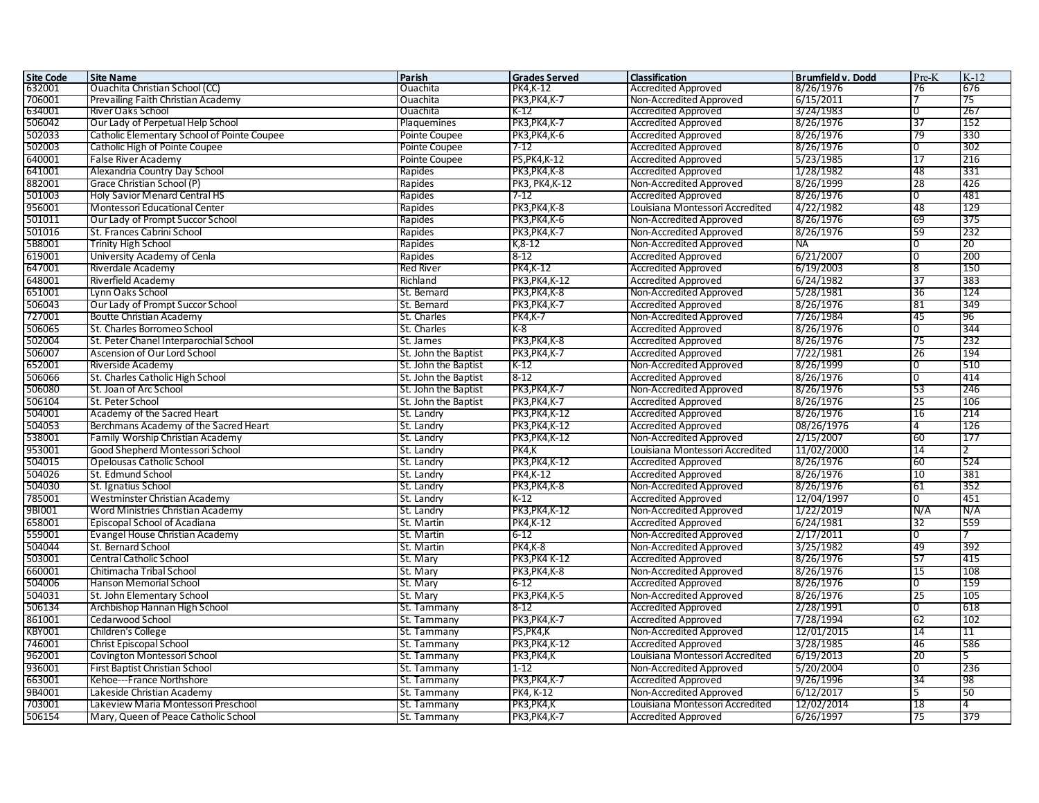| <b>Site Code</b> | <b>Site Name</b>                                     | Parish                   | <b>Grades Served</b>                     | <b>Classification</b>                                 | <b>Brumfield v. Dodd</b> | Pre-K           | $K-12$     |
|------------------|------------------------------------------------------|--------------------------|------------------------------------------|-------------------------------------------------------|--------------------------|-----------------|------------|
| 632001           | Ouachita Christian School (CC)                       | Ouachita                 | <b>PK4,K-12</b>                          | <b>Accredited Approved</b>                            | 8/26/1976                | 76              | 676        |
| 706001           | Prevailing Faith Christian Academy                   | <b>Ouachita</b>          | <b>PK3.PK4.K-7</b>                       | Non-Accredited Approved                               | 6/15/2011                |                 | 75         |
| 634001           | River Oaks School                                    | Ouachita                 | K-12                                     | <b>Accredited Approved</b>                            | 3/24/1983                | n               | 267        |
| 506042           | Our Lady of Perpetual Help School                    | Plaquemines              | PK3, PK4, K-7                            | <b>Accredited Approved</b>                            | 8/26/1976                | $\overline{37}$ | 152        |
| 502033           | Catholic Elementary School of Pointe Coupee          | Pointe Coupee            | PK3, PK4, K-6                            | <b>Accredited Approved</b>                            | 8/26/1976                | 79              | 330        |
| 502003           | Catholic High of Pointe Coupee                       | Pointe Coupee            | $7 - 12$                                 | <b>Accredited Approved</b>                            | 8/26/1976                | $\Omega$        | 302        |
| 640001           | <b>False River Academy</b>                           | Pointe Coupee            | <b>PS, PK4, K-12</b>                     | <b>Accredited Approved</b>                            | 5/23/1985                | 17              | 216        |
| 641001           | Alexandria Country Day School                        | Rapides                  | <b>PK3, PK4, K-8</b>                     | <b>Accredited Approved</b>                            | 1/28/1982                | 48              | 331        |
| 882001           | Grace Christian School (P)                           | Rapides                  | PK3, PK4, K-12                           | Non-Accredited Approved                               | 8/26/1999                | 28              | 426        |
| 501003           | Holy Savior Menard Central HS                        | Rapides                  | $7-12$                                   | <b>Accredited Approved</b>                            | 8/26/1976                | O               | 481        |
| 956001           | Montessori Educational Center                        | Rapides                  | <b>PK3, PK4, K-8</b>                     | Louisiana Montessori Accredited                       | 4/22/1982                | 48              | 129        |
| 501011           | Our Lady of Prompt Succor School                     | Rapides                  | PK3, PK4, K-6                            | Non-Accredited Approved                               | 8/26/1976                | 69              | 375        |
| 501016           | St. Frances Cabrini School                           | Rapides                  | <b>PK3, PK4, K-7</b>                     | Non-Accredited Approved                               | 8/26/1976                | 59              | 232        |
| 5B8001           | <b>Trinity High School</b>                           | Rapides                  | $K, 8-12$                                | Non-Accredited Approved                               | <b>NA</b>                | 0               | 20         |
| 619001           | University Academy of Cenla                          | Rapides                  | $8 - 12$                                 | <b>Accredited Approved</b>                            | 6/21/2007                | 0               | 200        |
| 647001           | Riverdale Academy                                    | <b>Red River</b>         | <b>PK4.K-12</b>                          | <b>Accredited Approved</b>                            | 6/19/2003                | 8               | 150        |
| 648001           | Riverfield Academy                                   | Richland                 | PK3, PK4, K-12                           | <b>Accredited Approved</b>                            | 6/24/1982                | 37              | 383        |
| 651001           | Lynn Oaks School                                     | St. Bernard              | <b>PK3, PK4, K-8</b>                     | Non-Accredited Approved                               | 5/28/1981                | 36              | 124        |
| 506043           | Our Lady of Prompt Succor School                     | St. Bernard              | PK3, PK4, K-7                            | <b>Accredited Approved</b>                            | 8/26/1976                | 81              | 349        |
| 727001           | <b>Boutte Christian Academy</b>                      | St. Charles              | <b>PK4,K-7</b>                           | Non-Accredited Approved                               | 7/26/1984                | 45              | 96         |
| 506065           | St. Charles Borromeo School                          | St. Charles              | K-8                                      | <b>Accredited Approved</b>                            | 8/26/1976                | $\overline{0}$  | 344        |
| 502004           | St. Peter Chanel Interparochial School               | St. James                | <b>PK3, PK4, K-8</b>                     | <b>Accredited Approved</b>                            | 8/26/1976                | 75              | 232        |
| 506007           | Ascension of Our Lord School                         | St. John the Baptist     | PK3, PK4, K-7                            | <b>Accredited Approved</b>                            | 7/22/1981                | 26              | 194        |
| 652001           | Riverside Academy                                    | St. John the Baptist     | $K-12$                                   | Non-Accredited Approved                               | 8/26/1999                | $\overline{0}$  | 510        |
| 506066           | St. Charles Catholic High School                     | St. John the Baptist     | $8 - 12$                                 | <b>Accredited Approved</b>                            | 8/26/1976                | O               | 414        |
| 506080           | St. Joan of Arc School                               | St. John the Baptist     | <b>PK3, PK4, K-7</b>                     | Non-Accredited Approved                               | 8/26/1976                | 53              | 246        |
| 506104           | St. Peter School                                     | St. John the Baptist     | <b>PK3, PK4, K-7</b>                     | <b>Accredited Approved</b>                            | 8/26/1976                | 25              | 106        |
| 504001           | Academy of the Sacred Heart                          | St. Landry               | PK3, PK4, K-12                           | <b>Accredited Approved</b>                            | 8/26/1976                | 16              | 214        |
| 504053           | Berchmans Academy of the Sacred Heart                | St. Landry               | PK3, PK4, K-12                           | <b>Accredited Approved</b>                            | 08/26/1976               | $\Delta$        | 126        |
| 538001           | Family Worship Christian Academy                     | St. Landry               | PK3, PK4, K-12                           | Non-Accredited Approved                               | 2/15/2007                | 60              | 177        |
| 953001           | Good Shepherd Montessori School                      | St. Landry               | PK4,K                                    | Louisiana Montessori Accredited                       | 11/02/2000               | 14              |            |
| 504015           | Opelousas Catholic School                            | St. Landry               | PK3, PK4, K-12                           | <b>Accredited Approved</b>                            | 8/26/1976                | 60              | 524        |
| 504026           | St. Edmund School                                    | St. Landry               | PK4,K-12                                 | Accredited Approved                                   | 8/26/1976                | 10              | 381        |
| 504030           |                                                      |                          | <b>PK3, PK4, K-8</b>                     |                                                       | 8/26/1976                | 61              | 352        |
| 785001           | St. Ignatius School<br>Westminster Christian Academy | St. Landry<br>St. Landry | $K-12$                                   | Non-Accredited Approved<br><b>Accredited Approved</b> | 12/04/1997               | $\overline{0}$  | 451        |
| 9BI001           | Word Ministries Christian Academy                    |                          |                                          |                                                       | 1/22/2019                |                 | N/A        |
|                  |                                                      | St. Landry               | <b>PK3, PK4, K-12</b><br><b>PK4,K-12</b> | Non-Accredited Approved                               | 6/24/1981                | N/A             |            |
| 658001           | Episcopal School of Acadiana                         | St. Martin               |                                          | <b>Accredited Approved</b>                            |                          | 32              | 559        |
| 559001           | Evangel House Christian Academy                      | St. Martin               | $6 - 12$                                 | Non-Accredited Approved                               | 2/17/2011                | 0               |            |
| 504044           | St. Bernard School                                   | St. Martin               | <b>PK4.K-8</b>                           | Non-Accredited Approved                               | 3/25/1982                | 49              | 392        |
| 503001           | Central Catholic School                              | St. Mary                 | <b>PK3, PK4 K-12</b>                     | <b>Accredited Approved</b>                            | 8/26/1976                | 57              | 415<br>108 |
| 660001           | Chitimacha Tribal School                             | St. Mary                 | PK3, PK4, K-8                            | Non-Accredited Approved                               | 8/26/1976                | 15              |            |
| 504006           | Hanson Memorial School                               | St. Mary                 | $6 - 12$                                 | <b>Accredited Approved</b>                            | 8/26/1976                | O               | 159        |
| 504031           | St. John Elementary School                           | St. Mary                 | PK3, PK4, K-5                            | Non-Accredited Approved                               | 8/26/1976                | 25              | 105        |
| 506134           | Archbishop Hannan High School                        | St. Tammany              | $8 - 12$                                 | <b>Accredited Approved</b>                            | 2/28/1991                | 0               | 618        |
| 861001           | Cedarwood School                                     | St. Tammany              | <b>PK3, PK4, K-7</b>                     | <b>Accredited Approved</b>                            | 7/28/1994                | 62              | 102        |
| KBY001           | Children's College                                   | St. Tammany              | PS, PK4, K                               | Non-Accredited Approved                               | 12/01/2015               | 14              | 11         |
| 746001           | Christ Episcopal School                              | St. Tammany              | PK3, PK4, K-12                           | <b>Accredited Approved</b>                            | 3/28/1985                | 46              | 586        |
| 962001           | Covington Montessori School                          | St. Tammany              | PK3, PK4, K                              | Louisiana Montessori Accredited                       | 6/19/2013                | 20              |            |
| 936001           | First Baptist Christian School                       | St. Tammany              | $1 - 12$                                 | Non-Accredited Approved                               | 5/20/2004                | $\overline{0}$  | 236        |
| 663001           | Kehoe---France Northshore                            | St. Tammany              | PK3, PK4, K-7                            | <b>Accredited Approved</b>                            | 9/26/1996                | 34              | 98         |
| 9B4001           | Lakeside Christian Academy                           | St. Tammany              | PK4, K-12                                | Non-Accredited Approved                               | 6/12/2017                |                 | 50         |
| 703001           | Lakeview Maria Montessori Preschool                  | St. Tammany              | <b>PK3, PK4, K</b>                       | Louisiana Montessori Accredited                       | 12/02/2014               | 18              | 4          |
| 506154           | Mary, Queen of Peace Catholic School                 | St. Tammany              | <b>PK3, PK4, K-7</b>                     | <b>Accredited Approved</b>                            | 6/26/1997                | 75              | 379        |